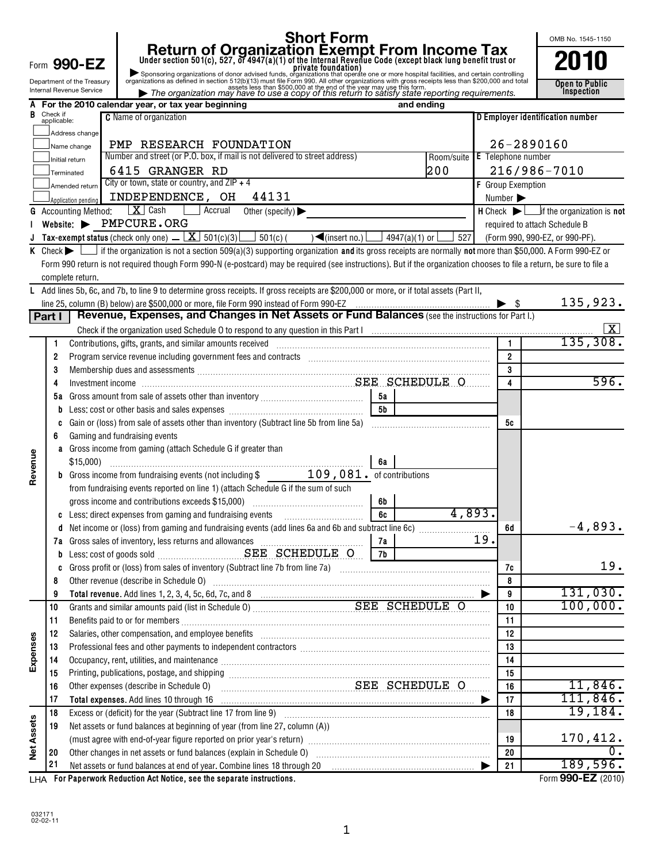|                   |             |                                                                             |                                                                                                                                                                                                                                               |                 |            |                               |                          | OMB No. 1545-1150                                                        |
|-------------------|-------------|-----------------------------------------------------------------------------|-----------------------------------------------------------------------------------------------------------------------------------------------------------------------------------------------------------------------------------------------|-----------------|------------|-------------------------------|--------------------------|--------------------------------------------------------------------------|
|                   |             |                                                                             | <b>Short Form</b><br><b>Short Form Income Tax</b><br>Under section 501(c), 527, or 4947(a)(1) of the Internal Revenue Code (except black lung benefit trust or<br>Sponsoring organizations of donor advised funds, organizations that operate |                 |            |                               |                          |                                                                          |
|                   |             | Form 990-EZ                                                                 |                                                                                                                                                                                                                                               |                 |            |                               |                          |                                                                          |
|                   |             | Department of the Treasury                                                  |                                                                                                                                                                                                                                               |                 |            |                               |                          | Open to Public                                                           |
|                   |             | Internal Revenue Service                                                    |                                                                                                                                                                                                                                               |                 |            |                               |                          | <b>Inspection</b>                                                        |
| B                 | Check if    |                                                                             | For the 2010 calendar year, or tax year beginning                                                                                                                                                                                             |                 | and ending |                               |                          |                                                                          |
|                   | applicable: |                                                                             | <b>C</b> Name of organization                                                                                                                                                                                                                 |                 |            |                               |                          | D Employer identification number                                         |
|                   |             | Address change                                                              |                                                                                                                                                                                                                                               |                 |            |                               |                          |                                                                          |
|                   |             | Name change                                                                 | PMP RESEARCH FOUNDATION<br>Number and street (or P.O. box, if mail is not delivered to street address)                                                                                                                                        |                 |            | Room/suite E Telephone number |                          | $26 - 2890160$                                                           |
|                   |             | Initial return                                                              | 6415 GRANGER RD                                                                                                                                                                                                                               |                 | 200        |                               |                          | 216/986-7010                                                             |
|                   |             | Terminated                                                                  | City or town, state or country, and $ZIP + 4$                                                                                                                                                                                                 |                 |            |                               | F Group Exemption        |                                                                          |
|                   |             | Amended return                                                              | INDEPENDENCE, OH<br>44131                                                                                                                                                                                                                     |                 |            |                               | Number >                 |                                                                          |
| G                 |             | Application pending<br><b>Accounting Method:</b>                            | $\mathbf{X}$ Cash<br>Accrual<br>Other (specify) $\blacktriangleright$                                                                                                                                                                         |                 |            |                               |                          | $H$ Check $\blacktriangleright$ $\Box$ if the organization is <b>not</b> |
|                   |             |                                                                             | Website: PMPCURE.ORG                                                                                                                                                                                                                          |                 |            |                               |                          | required to attach Schedule B                                            |
|                   |             |                                                                             | Tax-exempt status (check only one) $\underline{\mathbf{X}}$ 501(c)(3) $\underline{\mathbf{S}}$ 501(c)( $\rightarrow$ (insert no.) $\underline{\mathbf{S}}$ 4947(a)(1) or $\underline{\mathbf{S}}$ 527                                         |                 |            |                               |                          | (Form 990, 990-EZ, or 990-PF).                                           |
|                   |             |                                                                             | K Check $\blacktriangleright$ if the organization is not a section 509(a)(3) supporting organization and its gross receipts are normally not more than \$50,000. A Form 990-EZ or                                                             |                 |            |                               |                          |                                                                          |
|                   |             |                                                                             | Form 990 return is not required though Form 990-N (e-postcard) may be required (see instructions). But if the organization chooses to file a return, be sure to file a                                                                        |                 |            |                               |                          |                                                                          |
|                   |             | complete return.                                                            |                                                                                                                                                                                                                                               |                 |            |                               |                          |                                                                          |
|                   |             |                                                                             | L Add lines 5b, 6c, and 7b, to line 9 to determine gross receipts. If gross receipts are \$200,000 or more, or if total assets (Part II,                                                                                                      |                 |            |                               |                          |                                                                          |
|                   |             |                                                                             |                                                                                                                                                                                                                                               |                 |            |                               | $\blacktriangleright$ \$ | 135,923.                                                                 |
|                   | Part I      |                                                                             | Revenue, Expenses, and Changes in Net Assets or Fund Balances (see the instructions for Part I.)                                                                                                                                              |                 |            |                               |                          |                                                                          |
|                   |             |                                                                             | Check if the organization used Schedule O to respond to any question in this Part I manufaction containsation users and contained and the organization used Schedule O to respond to any question in this Part I manufaction c                |                 |            |                               |                          |                                                                          |
|                   | 1           |                                                                             |                                                                                                                                                                                                                                               |                 |            |                               |                          | 135,308.                                                                 |
|                   | 2           |                                                                             | Program service revenue including government fees and contracts [10] manufacture in the contracts and contracts                                                                                                                               |                 |            |                               | $\overline{2}$           |                                                                          |
|                   | 3           |                                                                             | Membership dues and assessments [111] Membership dues and assessments [11] Membership dues and assessments [11                                                                                                                                |                 |            |                               | 3                        |                                                                          |
|                   | 4           |                                                                             |                                                                                                                                                                                                                                               |                 |            |                               | 4                        | 596.                                                                     |
|                   |             |                                                                             |                                                                                                                                                                                                                                               |                 |            |                               |                          |                                                                          |
|                   |             |                                                                             |                                                                                                                                                                                                                                               | $\overline{5b}$ |            |                               |                          |                                                                          |
|                   |             |                                                                             |                                                                                                                                                                                                                                               |                 |            |                               | 5с                       |                                                                          |
|                   | 6           |                                                                             | Gaming and fundraising events                                                                                                                                                                                                                 |                 |            |                               |                          |                                                                          |
| Revenue           |             | \$15,000                                                                    | Gross income from gaming (attach Schedule G if greater than                                                                                                                                                                                   | 6а              |            |                               |                          |                                                                          |
|                   |             |                                                                             | <b>b</b> Gross income from fundraising events (not including \$ 109,081. of contributions                                                                                                                                                     |                 |            |                               |                          |                                                                          |
|                   |             |                                                                             | from fundraising events reported on line 1) (attach Schedule G if the sum of such                                                                                                                                                             |                 |            |                               |                          |                                                                          |
|                   |             |                                                                             |                                                                                                                                                                                                                                               | 6b              |            |                               |                          |                                                                          |
|                   |             |                                                                             |                                                                                                                                                                                                                                               | 6c              |            | 4,893.                        |                          |                                                                          |
|                   | a           |                                                                             | Net income or (loss) from gaming and fundraising events (add lines 6a and 6b and subtract line 6c) manufactured.                                                                                                                              |                 |            |                               | 6d                       | $-4,893.$                                                                |
|                   |             |                                                                             |                                                                                                                                                                                                                                               | 7a              |            | 19.                           |                          |                                                                          |
|                   | b           |                                                                             |                                                                                                                                                                                                                                               | 7b              |            |                               |                          |                                                                          |
|                   | c           |                                                                             |                                                                                                                                                                                                                                               |                 |            |                               | 7c                       | 19.                                                                      |
|                   | 8           |                                                                             | Other revenue (describe in Schedule O) manufactured and content to the schedule of the content of the schedule                                                                                                                                |                 |            |                               | 8                        |                                                                          |
|                   | 9           |                                                                             |                                                                                                                                                                                                                                               |                 |            |                               | 9                        | 131,030.<br>100,000.                                                     |
|                   | 10<br>11    |                                                                             |                                                                                                                                                                                                                                               |                 |            |                               | 10<br>11                 |                                                                          |
|                   | 12          |                                                                             | Salaries, other compensation, and employee benefits [111] [12] manufacture is a series of the compensation, and employee benefits [11] manufacture is a series of the compensation.                                                           |                 |            |                               | 12                       |                                                                          |
| Expenses          | 13          |                                                                             | Professional fees and other payments to independent contractors [11, 11] professional management of the system of the payments of the payment of the payment of the payment of the payment of the payment of the payment of th                |                 |            |                               | 13                       |                                                                          |
|                   | 14          |                                                                             | Occupancy, rent, utilities, and maintenance manual content content and a final content of the main content of                                                                                                                                 |                 |            |                               | 14                       |                                                                          |
|                   | 15          |                                                                             |                                                                                                                                                                                                                                               |                 |            |                               | 15                       |                                                                          |
|                   | 16          |                                                                             | SEE SCHEDULE O<br>Other expenses (describe in Schedule O)                                                                                                                                                                                     |                 |            |                               | 16                       | 11,846.                                                                  |
|                   | 17          |                                                                             |                                                                                                                                                                                                                                               |                 |            |                               | 17                       | 111,846.                                                                 |
|                   | 18          |                                                                             |                                                                                                                                                                                                                                               |                 |            |                               | 18                       | 19, 184.                                                                 |
|                   | 19          | Net assets or fund balances at beginning of year (from line 27, column (A)) |                                                                                                                                                                                                                                               |                 |            |                               |                          |                                                                          |
|                   |             |                                                                             |                                                                                                                                                                                                                                               |                 |            |                               | 19                       | 170,412.                                                                 |
| <b>Net Assets</b> | 20          |                                                                             |                                                                                                                                                                                                                                               |                 |            |                               | 20                       | $\mathbf 0$ .                                                            |
|                   | 21          |                                                                             |                                                                                                                                                                                                                                               |                 |            |                               | 21                       | 189,596.                                                                 |

**For Paperwork Reduction Act Notice, see the separate instructions.** LHA Form (2010)

×

**990-EZ** 

Ŷ.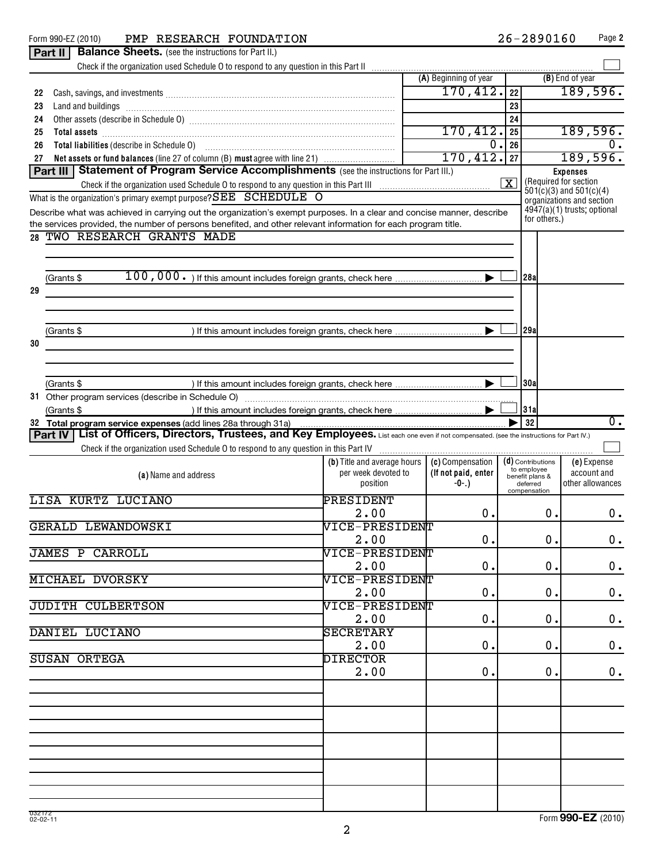|    | Form 990-EZ (2010) PMP RESEARCH FOUNDATION                                                                                                                                                                                     |                                                                         |                              |                      | 26-2890160                                                               |                            | Page 2           |
|----|--------------------------------------------------------------------------------------------------------------------------------------------------------------------------------------------------------------------------------|-------------------------------------------------------------------------|------------------------------|----------------------|--------------------------------------------------------------------------|----------------------------|------------------|
|    | Part II<br><b>Balance Sheets.</b> (see the instructions for Part II.)                                                                                                                                                          |                                                                         |                              |                      |                                                                          |                            |                  |
|    |                                                                                                                                                                                                                                |                                                                         |                              |                      |                                                                          |                            |                  |
|    |                                                                                                                                                                                                                                |                                                                         | (A) Beginning of year        |                      |                                                                          | (B) End of year            |                  |
| 22 | Cash, savings, and investments [111] contains a series of the same scale in the same scale in the same scale i                                                                                                                 |                                                                         | 170,412.                     | 22                   |                                                                          | 189,596.                   |                  |
| 23 |                                                                                                                                                                                                                                |                                                                         |                              | 23                   |                                                                          |                            |                  |
| 24 |                                                                                                                                                                                                                                |                                                                         |                              | 24                   |                                                                          |                            |                  |
| 25 |                                                                                                                                                                                                                                |                                                                         | 170,412.                     | 25                   |                                                                          | 189,596.                   |                  |
| 26 | Total liabilities (describe in Schedule 0) [11] [12] matter contracts and the schedule point of the state state of the state state state state state state state state state state state state state state state state state s |                                                                         | 0.                           | 26                   |                                                                          |                            | 0.               |
| 27 | Net assets or fund balances (line 27 of column (B) must agree with line 21)                                                                                                                                                    |                                                                         | 170,412.                     | 27                   |                                                                          | 189,596.                   |                  |
|    | Part III   Statement of Program Service Accomplishments (see the instructions for Part III.)                                                                                                                                   |                                                                         |                              |                      |                                                                          | <b>Expenses</b>            |                  |
|    |                                                                                                                                                                                                                                |                                                                         |                              | $\boxed{\textbf{X}}$ | (Required for section<br>$\frac{1}{2}01(c)(3)$ and $\frac{501(c)(4)}{2}$ |                            |                  |
|    | What is the organization's primary exempt purpose? SEE SCHEDULE O                                                                                                                                                              |                                                                         |                              |                      | organizations and section                                                |                            |                  |
|    | Describe what was achieved in carrying out the organization's exempt purposes. In a clear and concise manner, describe                                                                                                         |                                                                         |                              |                      | 4947(a)(1) trusts; optional                                              |                            |                  |
|    | the services provided, the number of persons benefited, and other relevant information for each program title.                                                                                                                 |                                                                         |                              |                      | for others.)                                                             |                            |                  |
|    | 28 TWO RESEARCH GRANTS MADE                                                                                                                                                                                                    |                                                                         |                              |                      |                                                                          |                            |                  |
|    |                                                                                                                                                                                                                                |                                                                         |                              |                      |                                                                          |                            |                  |
|    |                                                                                                                                                                                                                                |                                                                         |                              |                      |                                                                          |                            |                  |
|    | (Grants \$                                                                                                                                                                                                                     |                                                                         |                              |                      | 28a                                                                      |                            |                  |
| 29 |                                                                                                                                                                                                                                |                                                                         |                              |                      |                                                                          |                            |                  |
|    |                                                                                                                                                                                                                                |                                                                         |                              |                      |                                                                          |                            |                  |
|    |                                                                                                                                                                                                                                |                                                                         |                              |                      |                                                                          |                            |                  |
|    | (Grants \$                                                                                                                                                                                                                     |                                                                         |                              |                      | 29a                                                                      |                            |                  |
| 30 |                                                                                                                                                                                                                                |                                                                         |                              |                      |                                                                          |                            |                  |
|    |                                                                                                                                                                                                                                |                                                                         |                              |                      |                                                                          |                            |                  |
|    |                                                                                                                                                                                                                                |                                                                         |                              |                      |                                                                          |                            |                  |
|    | (Grants \$                                                                                                                                                                                                                     |                                                                         |                              |                      | 30al                                                                     |                            |                  |
|    |                                                                                                                                                                                                                                |                                                                         |                              |                      |                                                                          |                            |                  |
|    | (Grants \$                                                                                                                                                                                                                     | ) If this amount includes foreign grants, check here                    |                              |                      | 31a                                                                      |                            |                  |
|    |                                                                                                                                                                                                                                |                                                                         |                              |                      |                                                                          |                            |                  |
|    |                                                                                                                                                                                                                                |                                                                         |                              |                      |                                                                          |                            |                  |
|    | 32 Total program service expenses (add lines 28a through 31a)                                                                                                                                                                  |                                                                         |                              |                      | 32                                                                       |                            | $\overline{0}$ . |
|    | Part IV   List of Officers, Directors, Trustees, and Key Employees. List each one even if not compensated. (see the instructions for Part IV.)                                                                                 |                                                                         |                              |                      |                                                                          |                            |                  |
|    | Check if the organization used Schedule O to respond to any question in this Part IV [111] [11] Check if the organization used Schedule O to respond to any question in this Part IV                                           |                                                                         |                              |                      |                                                                          |                            |                  |
|    |                                                                                                                                                                                                                                | (b) Title and average hours $ $ (c) Compensation<br>per week devoted to |                              |                      | (d) Contributions<br>to employee                                         | (e) Expense<br>account and |                  |
|    | (a) Name and address                                                                                                                                                                                                           | position                                                                | (If not paid, enter<br>-0-.) |                      | benefit plans &<br>deferred                                              | other allowances           |                  |
|    |                                                                                                                                                                                                                                |                                                                         |                              |                      | compensation                                                             |                            |                  |
|    | LISA KURTZ LUCIANO                                                                                                                                                                                                             | PRESIDENT                                                               |                              |                      |                                                                          |                            |                  |
|    |                                                                                                                                                                                                                                | 2.00                                                                    | $0$ .                        |                      | 0.1                                                                      |                            | $0$ .            |
|    | GERALD LEWANDOWSKI                                                                                                                                                                                                             | VICE-PRESIDENT                                                          |                              |                      |                                                                          |                            |                  |
|    |                                                                                                                                                                                                                                | 2.00                                                                    | 0.                           |                      | 0.                                                                       |                            | 0.               |
|    | <b>JAMES P CARROLL</b>                                                                                                                                                                                                         | VICE-PRESIDENT                                                          |                              |                      |                                                                          |                            |                  |
|    |                                                                                                                                                                                                                                | 2.00                                                                    | 0.                           |                      | 0.                                                                       |                            | 0.               |
|    | <b>MICHAEL DVORSKY</b>                                                                                                                                                                                                         | VICE-PRESIDENT                                                          |                              |                      |                                                                          |                            |                  |
|    |                                                                                                                                                                                                                                | 2.00                                                                    | 0.                           |                      | 0.                                                                       |                            | 0.               |
|    | <b>JUDITH CULBERTSON</b>                                                                                                                                                                                                       | VICE-PRESIDENT                                                          |                              |                      |                                                                          |                            |                  |
|    |                                                                                                                                                                                                                                | 2.00                                                                    | 0.                           |                      | 0.                                                                       |                            | 0.               |
|    | DANIEL LUCIANO                                                                                                                                                                                                                 | <b>SECRETARY</b>                                                        |                              |                      |                                                                          |                            |                  |
|    |                                                                                                                                                                                                                                | 2.00                                                                    | 0.                           |                      | 0.                                                                       |                            | 0.               |
|    | <b>SUSAN ORTEGA</b>                                                                                                                                                                                                            | <b>DIRECTOR</b>                                                         |                              |                      |                                                                          |                            |                  |
|    |                                                                                                                                                                                                                                | 2.00                                                                    | 0.                           |                      | 0.                                                                       |                            | 0.               |
|    |                                                                                                                                                                                                                                |                                                                         |                              |                      |                                                                          |                            |                  |
|    |                                                                                                                                                                                                                                |                                                                         |                              |                      |                                                                          |                            |                  |
|    |                                                                                                                                                                                                                                |                                                                         |                              |                      |                                                                          |                            |                  |
|    |                                                                                                                                                                                                                                |                                                                         |                              |                      |                                                                          |                            |                  |
|    |                                                                                                                                                                                                                                |                                                                         |                              |                      |                                                                          |                            |                  |
|    |                                                                                                                                                                                                                                |                                                                         |                              |                      |                                                                          |                            |                  |
|    |                                                                                                                                                                                                                                |                                                                         |                              |                      |                                                                          |                            |                  |
|    |                                                                                                                                                                                                                                |                                                                         |                              |                      |                                                                          |                            |                  |
|    |                                                                                                                                                                                                                                |                                                                         |                              |                      |                                                                          |                            |                  |

Form (2010) **990-EZ**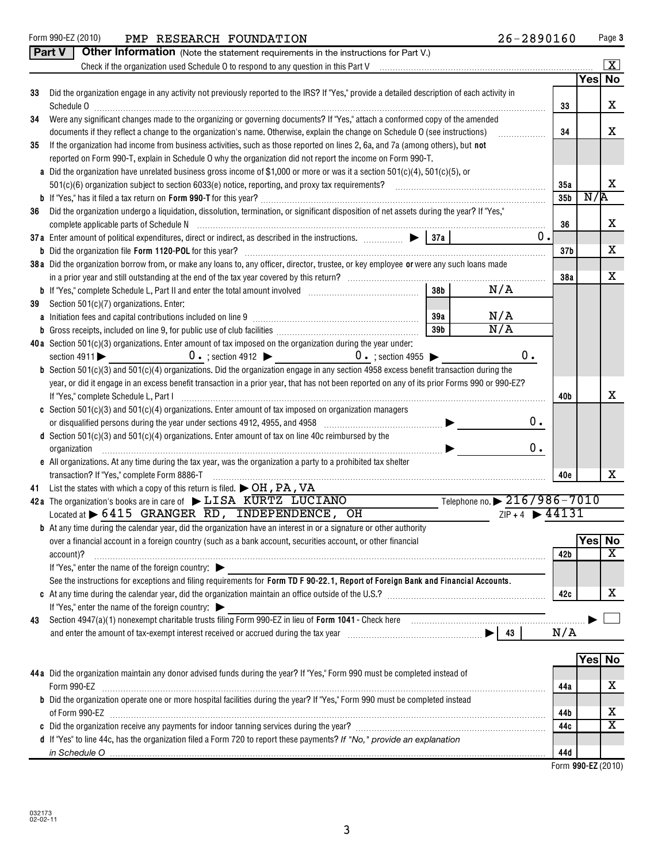| $\lfloor x \rfloor$<br>Check if the organization used Schedule O to respond to any question in this Part V<br>Yesl<br>Did the organization engage in any activity not previously reported to the IRS? If "Yes," provide a detailed description of each activity in<br>33<br>X<br>Schedule 0<br>33<br>Were any significant changes made to the organizing or governing documents? If "Yes," attach a conformed copy of the amended<br>34<br>x<br>34<br>documents if they reflect a change to the organization's name. Otherwise, explain the change on Schedule O (see instructions)<br>If the organization had income from business activities, such as those reported on lines 2, 6a, and 7a (among others), but not<br>35<br>reported on Form 990-T, explain in Schedule O why the organization did not report the income on Form 990-T.<br>a Did the organization have unrelated business gross income of \$1,000 or more or was it a section $501(c)(4)$ , $501(c)(5)$ , or<br>x<br>35a<br>N/R<br>35 <sub>b</sub><br>Did the organization undergo a liquidation, dissolution, termination, or significant disposition of net assets during the year? If "Yes,"<br>36<br>x<br>36<br>0.<br>x<br>37 <sub>b</sub><br>38a Did the organization borrow from, or make any loans to, any officer, director, trustee, or key employee or were any such loans made<br>x<br>38a<br>38 <sub>b</sub><br>N/A<br>Section 501(c)(7) organizations. Enter:<br>39<br>N/A<br>39a<br>N/A<br>39 <sub>b</sub><br>40a Section 501(c)(3) organizations. Enter amount of tax imposed on the organization during the year under:<br>0.<br>$0 \cdot$ ; section 4912 $\triangleright$ 0 $\cdot$ ; section 4955 $\triangleright$<br>section $4911$<br><b>b</b> Section 501(c)(3) and 501(c)(4) organizations. Did the organization engage in any section 4958 excess benefit transaction during the<br>year, or did it engage in an excess benefit transaction in a prior year, that has not been reported on any of its prior Forms 990 or 990-EZ?<br>х<br>If "Yes," complete Schedule L, Part I<br>40b<br>c Section $501(c)(3)$ and $501(c)(4)$ organizations. Enter amount of tax imposed on organization managers<br>0.<br>or disqualified persons during the year under sections 4912, 4955, and 4958 [11] [12] [12] [13] [13] [13] [13]<br>d Section $501(c)(3)$ and $501(c)(4)$ organizations. Enter amount of tax on line 40c reimbursed by the<br>$0$ .<br>organization<br>e All organizations. At any time during the tax year, was the organization a party to a prohibited tax shelter<br>x<br>transaction? If "Yes," complete Form 8886-T<br>40e<br>41 List the states with which a copy of this return is filed. $\triangleright$ OH, PA, VA<br>Telephone no. 216/986-7010<br>42a The organization's books are in care of $\blacktriangleright$ LISA KURTZ LUCIANO<br>$ZIP + 4$ $\rightarrow$ 44131<br>Located at $\triangleright$ 6415 GRANGER RD, INDEPENDENCE, OH<br><b>b</b> At any time during the calendar year, did the organization have an interest in or a signature or other authority<br>Yes No<br>over a financial account in a foreign country (such as a bank account, securities account, or other financial<br>$\overline{\text{X}}$<br>42 <sub>b</sub><br>account)?<br>If "Yes," enter the name of the foreign country:<br>See the instructions for exceptions and filing requirements for Form TD F 90-22.1, Report of Foreign Bank and Financial Accounts.<br>х<br>42c<br>If "Yes," enter the name of the foreign country: $\blacktriangleright$<br>Section 4947(a)(1) nonexempt charitable trusts filing Form 990-EZ in lieu of Form 1041 - Check here manufactured than the substitution of the section 4947(a)(1) nonexempt charitable trusts filing Form 990-EZ in lieu of For<br>43<br>N/A<br>Yes No<br>44 a Did the organization maintain any donor advised funds during the year? If "Yes," Form 990 must be completed instead of<br>х<br>Form 990-EZ<br>44a<br>b Did the organization operate one or more hospital facilities during the year? If "Yes," Form 990 must be completed instead<br>х<br>44b<br>$\overline{\texttt{x}}$<br>44c<br>d If "Yes" to line 44c, has the organization filed a Form 720 to report these payments? If "No," provide an explanation<br>44d | Part V<br>Other Information (Note the statement requirements in the instructions for Part V.) |  |    |
|----------------------------------------------------------------------------------------------------------------------------------------------------------------------------------------------------------------------------------------------------------------------------------------------------------------------------------------------------------------------------------------------------------------------------------------------------------------------------------------------------------------------------------------------------------------------------------------------------------------------------------------------------------------------------------------------------------------------------------------------------------------------------------------------------------------------------------------------------------------------------------------------------------------------------------------------------------------------------------------------------------------------------------------------------------------------------------------------------------------------------------------------------------------------------------------------------------------------------------------------------------------------------------------------------------------------------------------------------------------------------------------------------------------------------------------------------------------------------------------------------------------------------------------------------------------------------------------------------------------------------------------------------------------------------------------------------------------------------------------------------------------------------------------------------------------------------------------------------------------------------------------------------------------------------------------------------------------------------------------------------------------------------------------------------------------------------------------------------------------------------------------------------------------------------------------------------------------------------------------------------------------------------------------------------------------------------------------------------------------------------------------------------------------------------------------------------------------------------------------------------------------------------------------------------------------------------------------------------------------------------------------------------------------------------------------------------------------------------------------------------------------------------------------------------------------------------------------------------------------------------------------------------------------------------------------------------------------------------------------------------------------------------------------------------------------------------------------------------------------------------------------------------------------------------------------------------------------------------------------------------------------------------------------------------------------------------------------------------------------------------------------------------------------------------------------------------------------------------------------------------------------------------------------------------------------------------------------------------------------------------------------------------------------------------------------------------------------------------------------------------------------------------------------------------------------------------------------------------------------------------------------------------------------------------------------------------------------------------------------------------------------------------------------------------------------------------------------------------------------------------------------------------------------------------------------------------------------------------------------------------------------------------------------------|-----------------------------------------------------------------------------------------------|--|----|
|                                                                                                                                                                                                                                                                                                                                                                                                                                                                                                                                                                                                                                                                                                                                                                                                                                                                                                                                                                                                                                                                                                                                                                                                                                                                                                                                                                                                                                                                                                                                                                                                                                                                                                                                                                                                                                                                                                                                                                                                                                                                                                                                                                                                                                                                                                                                                                                                                                                                                                                                                                                                                                                                                                                                                                                                                                                                                                                                                                                                                                                                                                                                                                                                                                                                                                                                                                                                                                                                                                                                                                                                                                                                                                                                                                                                                                                                                                                                                                                                                                                                                                                                                                                                                                                                                              |                                                                                               |  |    |
|                                                                                                                                                                                                                                                                                                                                                                                                                                                                                                                                                                                                                                                                                                                                                                                                                                                                                                                                                                                                                                                                                                                                                                                                                                                                                                                                                                                                                                                                                                                                                                                                                                                                                                                                                                                                                                                                                                                                                                                                                                                                                                                                                                                                                                                                                                                                                                                                                                                                                                                                                                                                                                                                                                                                                                                                                                                                                                                                                                                                                                                                                                                                                                                                                                                                                                                                                                                                                                                                                                                                                                                                                                                                                                                                                                                                                                                                                                                                                                                                                                                                                                                                                                                                                                                                                              |                                                                                               |  | No |
|                                                                                                                                                                                                                                                                                                                                                                                                                                                                                                                                                                                                                                                                                                                                                                                                                                                                                                                                                                                                                                                                                                                                                                                                                                                                                                                                                                                                                                                                                                                                                                                                                                                                                                                                                                                                                                                                                                                                                                                                                                                                                                                                                                                                                                                                                                                                                                                                                                                                                                                                                                                                                                                                                                                                                                                                                                                                                                                                                                                                                                                                                                                                                                                                                                                                                                                                                                                                                                                                                                                                                                                                                                                                                                                                                                                                                                                                                                                                                                                                                                                                                                                                                                                                                                                                                              |                                                                                               |  |    |
|                                                                                                                                                                                                                                                                                                                                                                                                                                                                                                                                                                                                                                                                                                                                                                                                                                                                                                                                                                                                                                                                                                                                                                                                                                                                                                                                                                                                                                                                                                                                                                                                                                                                                                                                                                                                                                                                                                                                                                                                                                                                                                                                                                                                                                                                                                                                                                                                                                                                                                                                                                                                                                                                                                                                                                                                                                                                                                                                                                                                                                                                                                                                                                                                                                                                                                                                                                                                                                                                                                                                                                                                                                                                                                                                                                                                                                                                                                                                                                                                                                                                                                                                                                                                                                                                                              |                                                                                               |  |    |
|                                                                                                                                                                                                                                                                                                                                                                                                                                                                                                                                                                                                                                                                                                                                                                                                                                                                                                                                                                                                                                                                                                                                                                                                                                                                                                                                                                                                                                                                                                                                                                                                                                                                                                                                                                                                                                                                                                                                                                                                                                                                                                                                                                                                                                                                                                                                                                                                                                                                                                                                                                                                                                                                                                                                                                                                                                                                                                                                                                                                                                                                                                                                                                                                                                                                                                                                                                                                                                                                                                                                                                                                                                                                                                                                                                                                                                                                                                                                                                                                                                                                                                                                                                                                                                                                                              |                                                                                               |  |    |
|                                                                                                                                                                                                                                                                                                                                                                                                                                                                                                                                                                                                                                                                                                                                                                                                                                                                                                                                                                                                                                                                                                                                                                                                                                                                                                                                                                                                                                                                                                                                                                                                                                                                                                                                                                                                                                                                                                                                                                                                                                                                                                                                                                                                                                                                                                                                                                                                                                                                                                                                                                                                                                                                                                                                                                                                                                                                                                                                                                                                                                                                                                                                                                                                                                                                                                                                                                                                                                                                                                                                                                                                                                                                                                                                                                                                                                                                                                                                                                                                                                                                                                                                                                                                                                                                                              |                                                                                               |  |    |
|                                                                                                                                                                                                                                                                                                                                                                                                                                                                                                                                                                                                                                                                                                                                                                                                                                                                                                                                                                                                                                                                                                                                                                                                                                                                                                                                                                                                                                                                                                                                                                                                                                                                                                                                                                                                                                                                                                                                                                                                                                                                                                                                                                                                                                                                                                                                                                                                                                                                                                                                                                                                                                                                                                                                                                                                                                                                                                                                                                                                                                                                                                                                                                                                                                                                                                                                                                                                                                                                                                                                                                                                                                                                                                                                                                                                                                                                                                                                                                                                                                                                                                                                                                                                                                                                                              |                                                                                               |  |    |
|                                                                                                                                                                                                                                                                                                                                                                                                                                                                                                                                                                                                                                                                                                                                                                                                                                                                                                                                                                                                                                                                                                                                                                                                                                                                                                                                                                                                                                                                                                                                                                                                                                                                                                                                                                                                                                                                                                                                                                                                                                                                                                                                                                                                                                                                                                                                                                                                                                                                                                                                                                                                                                                                                                                                                                                                                                                                                                                                                                                                                                                                                                                                                                                                                                                                                                                                                                                                                                                                                                                                                                                                                                                                                                                                                                                                                                                                                                                                                                                                                                                                                                                                                                                                                                                                                              |                                                                                               |  |    |
|                                                                                                                                                                                                                                                                                                                                                                                                                                                                                                                                                                                                                                                                                                                                                                                                                                                                                                                                                                                                                                                                                                                                                                                                                                                                                                                                                                                                                                                                                                                                                                                                                                                                                                                                                                                                                                                                                                                                                                                                                                                                                                                                                                                                                                                                                                                                                                                                                                                                                                                                                                                                                                                                                                                                                                                                                                                                                                                                                                                                                                                                                                                                                                                                                                                                                                                                                                                                                                                                                                                                                                                                                                                                                                                                                                                                                                                                                                                                                                                                                                                                                                                                                                                                                                                                                              |                                                                                               |  |    |
|                                                                                                                                                                                                                                                                                                                                                                                                                                                                                                                                                                                                                                                                                                                                                                                                                                                                                                                                                                                                                                                                                                                                                                                                                                                                                                                                                                                                                                                                                                                                                                                                                                                                                                                                                                                                                                                                                                                                                                                                                                                                                                                                                                                                                                                                                                                                                                                                                                                                                                                                                                                                                                                                                                                                                                                                                                                                                                                                                                                                                                                                                                                                                                                                                                                                                                                                                                                                                                                                                                                                                                                                                                                                                                                                                                                                                                                                                                                                                                                                                                                                                                                                                                                                                                                                                              |                                                                                               |  |    |
|                                                                                                                                                                                                                                                                                                                                                                                                                                                                                                                                                                                                                                                                                                                                                                                                                                                                                                                                                                                                                                                                                                                                                                                                                                                                                                                                                                                                                                                                                                                                                                                                                                                                                                                                                                                                                                                                                                                                                                                                                                                                                                                                                                                                                                                                                                                                                                                                                                                                                                                                                                                                                                                                                                                                                                                                                                                                                                                                                                                                                                                                                                                                                                                                                                                                                                                                                                                                                                                                                                                                                                                                                                                                                                                                                                                                                                                                                                                                                                                                                                                                                                                                                                                                                                                                                              |                                                                                               |  |    |
|                                                                                                                                                                                                                                                                                                                                                                                                                                                                                                                                                                                                                                                                                                                                                                                                                                                                                                                                                                                                                                                                                                                                                                                                                                                                                                                                                                                                                                                                                                                                                                                                                                                                                                                                                                                                                                                                                                                                                                                                                                                                                                                                                                                                                                                                                                                                                                                                                                                                                                                                                                                                                                                                                                                                                                                                                                                                                                                                                                                                                                                                                                                                                                                                                                                                                                                                                                                                                                                                                                                                                                                                                                                                                                                                                                                                                                                                                                                                                                                                                                                                                                                                                                                                                                                                                              |                                                                                               |  |    |
|                                                                                                                                                                                                                                                                                                                                                                                                                                                                                                                                                                                                                                                                                                                                                                                                                                                                                                                                                                                                                                                                                                                                                                                                                                                                                                                                                                                                                                                                                                                                                                                                                                                                                                                                                                                                                                                                                                                                                                                                                                                                                                                                                                                                                                                                                                                                                                                                                                                                                                                                                                                                                                                                                                                                                                                                                                                                                                                                                                                                                                                                                                                                                                                                                                                                                                                                                                                                                                                                                                                                                                                                                                                                                                                                                                                                                                                                                                                                                                                                                                                                                                                                                                                                                                                                                              |                                                                                               |  |    |
|                                                                                                                                                                                                                                                                                                                                                                                                                                                                                                                                                                                                                                                                                                                                                                                                                                                                                                                                                                                                                                                                                                                                                                                                                                                                                                                                                                                                                                                                                                                                                                                                                                                                                                                                                                                                                                                                                                                                                                                                                                                                                                                                                                                                                                                                                                                                                                                                                                                                                                                                                                                                                                                                                                                                                                                                                                                                                                                                                                                                                                                                                                                                                                                                                                                                                                                                                                                                                                                                                                                                                                                                                                                                                                                                                                                                                                                                                                                                                                                                                                                                                                                                                                                                                                                                                              |                                                                                               |  |    |
|                                                                                                                                                                                                                                                                                                                                                                                                                                                                                                                                                                                                                                                                                                                                                                                                                                                                                                                                                                                                                                                                                                                                                                                                                                                                                                                                                                                                                                                                                                                                                                                                                                                                                                                                                                                                                                                                                                                                                                                                                                                                                                                                                                                                                                                                                                                                                                                                                                                                                                                                                                                                                                                                                                                                                                                                                                                                                                                                                                                                                                                                                                                                                                                                                                                                                                                                                                                                                                                                                                                                                                                                                                                                                                                                                                                                                                                                                                                                                                                                                                                                                                                                                                                                                                                                                              |                                                                                               |  |    |
|                                                                                                                                                                                                                                                                                                                                                                                                                                                                                                                                                                                                                                                                                                                                                                                                                                                                                                                                                                                                                                                                                                                                                                                                                                                                                                                                                                                                                                                                                                                                                                                                                                                                                                                                                                                                                                                                                                                                                                                                                                                                                                                                                                                                                                                                                                                                                                                                                                                                                                                                                                                                                                                                                                                                                                                                                                                                                                                                                                                                                                                                                                                                                                                                                                                                                                                                                                                                                                                                                                                                                                                                                                                                                                                                                                                                                                                                                                                                                                                                                                                                                                                                                                                                                                                                                              |                                                                                               |  |    |
|                                                                                                                                                                                                                                                                                                                                                                                                                                                                                                                                                                                                                                                                                                                                                                                                                                                                                                                                                                                                                                                                                                                                                                                                                                                                                                                                                                                                                                                                                                                                                                                                                                                                                                                                                                                                                                                                                                                                                                                                                                                                                                                                                                                                                                                                                                                                                                                                                                                                                                                                                                                                                                                                                                                                                                                                                                                                                                                                                                                                                                                                                                                                                                                                                                                                                                                                                                                                                                                                                                                                                                                                                                                                                                                                                                                                                                                                                                                                                                                                                                                                                                                                                                                                                                                                                              |                                                                                               |  |    |
|                                                                                                                                                                                                                                                                                                                                                                                                                                                                                                                                                                                                                                                                                                                                                                                                                                                                                                                                                                                                                                                                                                                                                                                                                                                                                                                                                                                                                                                                                                                                                                                                                                                                                                                                                                                                                                                                                                                                                                                                                                                                                                                                                                                                                                                                                                                                                                                                                                                                                                                                                                                                                                                                                                                                                                                                                                                                                                                                                                                                                                                                                                                                                                                                                                                                                                                                                                                                                                                                                                                                                                                                                                                                                                                                                                                                                                                                                                                                                                                                                                                                                                                                                                                                                                                                                              |                                                                                               |  |    |
|                                                                                                                                                                                                                                                                                                                                                                                                                                                                                                                                                                                                                                                                                                                                                                                                                                                                                                                                                                                                                                                                                                                                                                                                                                                                                                                                                                                                                                                                                                                                                                                                                                                                                                                                                                                                                                                                                                                                                                                                                                                                                                                                                                                                                                                                                                                                                                                                                                                                                                                                                                                                                                                                                                                                                                                                                                                                                                                                                                                                                                                                                                                                                                                                                                                                                                                                                                                                                                                                                                                                                                                                                                                                                                                                                                                                                                                                                                                                                                                                                                                                                                                                                                                                                                                                                              |                                                                                               |  |    |
|                                                                                                                                                                                                                                                                                                                                                                                                                                                                                                                                                                                                                                                                                                                                                                                                                                                                                                                                                                                                                                                                                                                                                                                                                                                                                                                                                                                                                                                                                                                                                                                                                                                                                                                                                                                                                                                                                                                                                                                                                                                                                                                                                                                                                                                                                                                                                                                                                                                                                                                                                                                                                                                                                                                                                                                                                                                                                                                                                                                                                                                                                                                                                                                                                                                                                                                                                                                                                                                                                                                                                                                                                                                                                                                                                                                                                                                                                                                                                                                                                                                                                                                                                                                                                                                                                              |                                                                                               |  |    |
|                                                                                                                                                                                                                                                                                                                                                                                                                                                                                                                                                                                                                                                                                                                                                                                                                                                                                                                                                                                                                                                                                                                                                                                                                                                                                                                                                                                                                                                                                                                                                                                                                                                                                                                                                                                                                                                                                                                                                                                                                                                                                                                                                                                                                                                                                                                                                                                                                                                                                                                                                                                                                                                                                                                                                                                                                                                                                                                                                                                                                                                                                                                                                                                                                                                                                                                                                                                                                                                                                                                                                                                                                                                                                                                                                                                                                                                                                                                                                                                                                                                                                                                                                                                                                                                                                              |                                                                                               |  |    |
|                                                                                                                                                                                                                                                                                                                                                                                                                                                                                                                                                                                                                                                                                                                                                                                                                                                                                                                                                                                                                                                                                                                                                                                                                                                                                                                                                                                                                                                                                                                                                                                                                                                                                                                                                                                                                                                                                                                                                                                                                                                                                                                                                                                                                                                                                                                                                                                                                                                                                                                                                                                                                                                                                                                                                                                                                                                                                                                                                                                                                                                                                                                                                                                                                                                                                                                                                                                                                                                                                                                                                                                                                                                                                                                                                                                                                                                                                                                                                                                                                                                                                                                                                                                                                                                                                              |                                                                                               |  |    |
|                                                                                                                                                                                                                                                                                                                                                                                                                                                                                                                                                                                                                                                                                                                                                                                                                                                                                                                                                                                                                                                                                                                                                                                                                                                                                                                                                                                                                                                                                                                                                                                                                                                                                                                                                                                                                                                                                                                                                                                                                                                                                                                                                                                                                                                                                                                                                                                                                                                                                                                                                                                                                                                                                                                                                                                                                                                                                                                                                                                                                                                                                                                                                                                                                                                                                                                                                                                                                                                                                                                                                                                                                                                                                                                                                                                                                                                                                                                                                                                                                                                                                                                                                                                                                                                                                              |                                                                                               |  |    |
|                                                                                                                                                                                                                                                                                                                                                                                                                                                                                                                                                                                                                                                                                                                                                                                                                                                                                                                                                                                                                                                                                                                                                                                                                                                                                                                                                                                                                                                                                                                                                                                                                                                                                                                                                                                                                                                                                                                                                                                                                                                                                                                                                                                                                                                                                                                                                                                                                                                                                                                                                                                                                                                                                                                                                                                                                                                                                                                                                                                                                                                                                                                                                                                                                                                                                                                                                                                                                                                                                                                                                                                                                                                                                                                                                                                                                                                                                                                                                                                                                                                                                                                                                                                                                                                                                              |                                                                                               |  |    |
|                                                                                                                                                                                                                                                                                                                                                                                                                                                                                                                                                                                                                                                                                                                                                                                                                                                                                                                                                                                                                                                                                                                                                                                                                                                                                                                                                                                                                                                                                                                                                                                                                                                                                                                                                                                                                                                                                                                                                                                                                                                                                                                                                                                                                                                                                                                                                                                                                                                                                                                                                                                                                                                                                                                                                                                                                                                                                                                                                                                                                                                                                                                                                                                                                                                                                                                                                                                                                                                                                                                                                                                                                                                                                                                                                                                                                                                                                                                                                                                                                                                                                                                                                                                                                                                                                              |                                                                                               |  |    |
|                                                                                                                                                                                                                                                                                                                                                                                                                                                                                                                                                                                                                                                                                                                                                                                                                                                                                                                                                                                                                                                                                                                                                                                                                                                                                                                                                                                                                                                                                                                                                                                                                                                                                                                                                                                                                                                                                                                                                                                                                                                                                                                                                                                                                                                                                                                                                                                                                                                                                                                                                                                                                                                                                                                                                                                                                                                                                                                                                                                                                                                                                                                                                                                                                                                                                                                                                                                                                                                                                                                                                                                                                                                                                                                                                                                                                                                                                                                                                                                                                                                                                                                                                                                                                                                                                              |                                                                                               |  |    |
|                                                                                                                                                                                                                                                                                                                                                                                                                                                                                                                                                                                                                                                                                                                                                                                                                                                                                                                                                                                                                                                                                                                                                                                                                                                                                                                                                                                                                                                                                                                                                                                                                                                                                                                                                                                                                                                                                                                                                                                                                                                                                                                                                                                                                                                                                                                                                                                                                                                                                                                                                                                                                                                                                                                                                                                                                                                                                                                                                                                                                                                                                                                                                                                                                                                                                                                                                                                                                                                                                                                                                                                                                                                                                                                                                                                                                                                                                                                                                                                                                                                                                                                                                                                                                                                                                              |                                                                                               |  |    |
|                                                                                                                                                                                                                                                                                                                                                                                                                                                                                                                                                                                                                                                                                                                                                                                                                                                                                                                                                                                                                                                                                                                                                                                                                                                                                                                                                                                                                                                                                                                                                                                                                                                                                                                                                                                                                                                                                                                                                                                                                                                                                                                                                                                                                                                                                                                                                                                                                                                                                                                                                                                                                                                                                                                                                                                                                                                                                                                                                                                                                                                                                                                                                                                                                                                                                                                                                                                                                                                                                                                                                                                                                                                                                                                                                                                                                                                                                                                                                                                                                                                                                                                                                                                                                                                                                              |                                                                                               |  |    |
|                                                                                                                                                                                                                                                                                                                                                                                                                                                                                                                                                                                                                                                                                                                                                                                                                                                                                                                                                                                                                                                                                                                                                                                                                                                                                                                                                                                                                                                                                                                                                                                                                                                                                                                                                                                                                                                                                                                                                                                                                                                                                                                                                                                                                                                                                                                                                                                                                                                                                                                                                                                                                                                                                                                                                                                                                                                                                                                                                                                                                                                                                                                                                                                                                                                                                                                                                                                                                                                                                                                                                                                                                                                                                                                                                                                                                                                                                                                                                                                                                                                                                                                                                                                                                                                                                              |                                                                                               |  |    |
|                                                                                                                                                                                                                                                                                                                                                                                                                                                                                                                                                                                                                                                                                                                                                                                                                                                                                                                                                                                                                                                                                                                                                                                                                                                                                                                                                                                                                                                                                                                                                                                                                                                                                                                                                                                                                                                                                                                                                                                                                                                                                                                                                                                                                                                                                                                                                                                                                                                                                                                                                                                                                                                                                                                                                                                                                                                                                                                                                                                                                                                                                                                                                                                                                                                                                                                                                                                                                                                                                                                                                                                                                                                                                                                                                                                                                                                                                                                                                                                                                                                                                                                                                                                                                                                                                              |                                                                                               |  |    |
|                                                                                                                                                                                                                                                                                                                                                                                                                                                                                                                                                                                                                                                                                                                                                                                                                                                                                                                                                                                                                                                                                                                                                                                                                                                                                                                                                                                                                                                                                                                                                                                                                                                                                                                                                                                                                                                                                                                                                                                                                                                                                                                                                                                                                                                                                                                                                                                                                                                                                                                                                                                                                                                                                                                                                                                                                                                                                                                                                                                                                                                                                                                                                                                                                                                                                                                                                                                                                                                                                                                                                                                                                                                                                                                                                                                                                                                                                                                                                                                                                                                                                                                                                                                                                                                                                              |                                                                                               |  |    |
|                                                                                                                                                                                                                                                                                                                                                                                                                                                                                                                                                                                                                                                                                                                                                                                                                                                                                                                                                                                                                                                                                                                                                                                                                                                                                                                                                                                                                                                                                                                                                                                                                                                                                                                                                                                                                                                                                                                                                                                                                                                                                                                                                                                                                                                                                                                                                                                                                                                                                                                                                                                                                                                                                                                                                                                                                                                                                                                                                                                                                                                                                                                                                                                                                                                                                                                                                                                                                                                                                                                                                                                                                                                                                                                                                                                                                                                                                                                                                                                                                                                                                                                                                                                                                                                                                              |                                                                                               |  |    |
|                                                                                                                                                                                                                                                                                                                                                                                                                                                                                                                                                                                                                                                                                                                                                                                                                                                                                                                                                                                                                                                                                                                                                                                                                                                                                                                                                                                                                                                                                                                                                                                                                                                                                                                                                                                                                                                                                                                                                                                                                                                                                                                                                                                                                                                                                                                                                                                                                                                                                                                                                                                                                                                                                                                                                                                                                                                                                                                                                                                                                                                                                                                                                                                                                                                                                                                                                                                                                                                                                                                                                                                                                                                                                                                                                                                                                                                                                                                                                                                                                                                                                                                                                                                                                                                                                              |                                                                                               |  |    |
|                                                                                                                                                                                                                                                                                                                                                                                                                                                                                                                                                                                                                                                                                                                                                                                                                                                                                                                                                                                                                                                                                                                                                                                                                                                                                                                                                                                                                                                                                                                                                                                                                                                                                                                                                                                                                                                                                                                                                                                                                                                                                                                                                                                                                                                                                                                                                                                                                                                                                                                                                                                                                                                                                                                                                                                                                                                                                                                                                                                                                                                                                                                                                                                                                                                                                                                                                                                                                                                                                                                                                                                                                                                                                                                                                                                                                                                                                                                                                                                                                                                                                                                                                                                                                                                                                              |                                                                                               |  |    |
|                                                                                                                                                                                                                                                                                                                                                                                                                                                                                                                                                                                                                                                                                                                                                                                                                                                                                                                                                                                                                                                                                                                                                                                                                                                                                                                                                                                                                                                                                                                                                                                                                                                                                                                                                                                                                                                                                                                                                                                                                                                                                                                                                                                                                                                                                                                                                                                                                                                                                                                                                                                                                                                                                                                                                                                                                                                                                                                                                                                                                                                                                                                                                                                                                                                                                                                                                                                                                                                                                                                                                                                                                                                                                                                                                                                                                                                                                                                                                                                                                                                                                                                                                                                                                                                                                              |                                                                                               |  |    |
|                                                                                                                                                                                                                                                                                                                                                                                                                                                                                                                                                                                                                                                                                                                                                                                                                                                                                                                                                                                                                                                                                                                                                                                                                                                                                                                                                                                                                                                                                                                                                                                                                                                                                                                                                                                                                                                                                                                                                                                                                                                                                                                                                                                                                                                                                                                                                                                                                                                                                                                                                                                                                                                                                                                                                                                                                                                                                                                                                                                                                                                                                                                                                                                                                                                                                                                                                                                                                                                                                                                                                                                                                                                                                                                                                                                                                                                                                                                                                                                                                                                                                                                                                                                                                                                                                              |                                                                                               |  |    |
|                                                                                                                                                                                                                                                                                                                                                                                                                                                                                                                                                                                                                                                                                                                                                                                                                                                                                                                                                                                                                                                                                                                                                                                                                                                                                                                                                                                                                                                                                                                                                                                                                                                                                                                                                                                                                                                                                                                                                                                                                                                                                                                                                                                                                                                                                                                                                                                                                                                                                                                                                                                                                                                                                                                                                                                                                                                                                                                                                                                                                                                                                                                                                                                                                                                                                                                                                                                                                                                                                                                                                                                                                                                                                                                                                                                                                                                                                                                                                                                                                                                                                                                                                                                                                                                                                              |                                                                                               |  |    |
|                                                                                                                                                                                                                                                                                                                                                                                                                                                                                                                                                                                                                                                                                                                                                                                                                                                                                                                                                                                                                                                                                                                                                                                                                                                                                                                                                                                                                                                                                                                                                                                                                                                                                                                                                                                                                                                                                                                                                                                                                                                                                                                                                                                                                                                                                                                                                                                                                                                                                                                                                                                                                                                                                                                                                                                                                                                                                                                                                                                                                                                                                                                                                                                                                                                                                                                                                                                                                                                                                                                                                                                                                                                                                                                                                                                                                                                                                                                                                                                                                                                                                                                                                                                                                                                                                              |                                                                                               |  |    |
|                                                                                                                                                                                                                                                                                                                                                                                                                                                                                                                                                                                                                                                                                                                                                                                                                                                                                                                                                                                                                                                                                                                                                                                                                                                                                                                                                                                                                                                                                                                                                                                                                                                                                                                                                                                                                                                                                                                                                                                                                                                                                                                                                                                                                                                                                                                                                                                                                                                                                                                                                                                                                                                                                                                                                                                                                                                                                                                                                                                                                                                                                                                                                                                                                                                                                                                                                                                                                                                                                                                                                                                                                                                                                                                                                                                                                                                                                                                                                                                                                                                                                                                                                                                                                                                                                              |                                                                                               |  |    |
|                                                                                                                                                                                                                                                                                                                                                                                                                                                                                                                                                                                                                                                                                                                                                                                                                                                                                                                                                                                                                                                                                                                                                                                                                                                                                                                                                                                                                                                                                                                                                                                                                                                                                                                                                                                                                                                                                                                                                                                                                                                                                                                                                                                                                                                                                                                                                                                                                                                                                                                                                                                                                                                                                                                                                                                                                                                                                                                                                                                                                                                                                                                                                                                                                                                                                                                                                                                                                                                                                                                                                                                                                                                                                                                                                                                                                                                                                                                                                                                                                                                                                                                                                                                                                                                                                              |                                                                                               |  |    |
|                                                                                                                                                                                                                                                                                                                                                                                                                                                                                                                                                                                                                                                                                                                                                                                                                                                                                                                                                                                                                                                                                                                                                                                                                                                                                                                                                                                                                                                                                                                                                                                                                                                                                                                                                                                                                                                                                                                                                                                                                                                                                                                                                                                                                                                                                                                                                                                                                                                                                                                                                                                                                                                                                                                                                                                                                                                                                                                                                                                                                                                                                                                                                                                                                                                                                                                                                                                                                                                                                                                                                                                                                                                                                                                                                                                                                                                                                                                                                                                                                                                                                                                                                                                                                                                                                              |                                                                                               |  |    |
|                                                                                                                                                                                                                                                                                                                                                                                                                                                                                                                                                                                                                                                                                                                                                                                                                                                                                                                                                                                                                                                                                                                                                                                                                                                                                                                                                                                                                                                                                                                                                                                                                                                                                                                                                                                                                                                                                                                                                                                                                                                                                                                                                                                                                                                                                                                                                                                                                                                                                                                                                                                                                                                                                                                                                                                                                                                                                                                                                                                                                                                                                                                                                                                                                                                                                                                                                                                                                                                                                                                                                                                                                                                                                                                                                                                                                                                                                                                                                                                                                                                                                                                                                                                                                                                                                              |                                                                                               |  |    |
|                                                                                                                                                                                                                                                                                                                                                                                                                                                                                                                                                                                                                                                                                                                                                                                                                                                                                                                                                                                                                                                                                                                                                                                                                                                                                                                                                                                                                                                                                                                                                                                                                                                                                                                                                                                                                                                                                                                                                                                                                                                                                                                                                                                                                                                                                                                                                                                                                                                                                                                                                                                                                                                                                                                                                                                                                                                                                                                                                                                                                                                                                                                                                                                                                                                                                                                                                                                                                                                                                                                                                                                                                                                                                                                                                                                                                                                                                                                                                                                                                                                                                                                                                                                                                                                                                              |                                                                                               |  |    |
|                                                                                                                                                                                                                                                                                                                                                                                                                                                                                                                                                                                                                                                                                                                                                                                                                                                                                                                                                                                                                                                                                                                                                                                                                                                                                                                                                                                                                                                                                                                                                                                                                                                                                                                                                                                                                                                                                                                                                                                                                                                                                                                                                                                                                                                                                                                                                                                                                                                                                                                                                                                                                                                                                                                                                                                                                                                                                                                                                                                                                                                                                                                                                                                                                                                                                                                                                                                                                                                                                                                                                                                                                                                                                                                                                                                                                                                                                                                                                                                                                                                                                                                                                                                                                                                                                              |                                                                                               |  |    |
|                                                                                                                                                                                                                                                                                                                                                                                                                                                                                                                                                                                                                                                                                                                                                                                                                                                                                                                                                                                                                                                                                                                                                                                                                                                                                                                                                                                                                                                                                                                                                                                                                                                                                                                                                                                                                                                                                                                                                                                                                                                                                                                                                                                                                                                                                                                                                                                                                                                                                                                                                                                                                                                                                                                                                                                                                                                                                                                                                                                                                                                                                                                                                                                                                                                                                                                                                                                                                                                                                                                                                                                                                                                                                                                                                                                                                                                                                                                                                                                                                                                                                                                                                                                                                                                                                              |                                                                                               |  |    |
|                                                                                                                                                                                                                                                                                                                                                                                                                                                                                                                                                                                                                                                                                                                                                                                                                                                                                                                                                                                                                                                                                                                                                                                                                                                                                                                                                                                                                                                                                                                                                                                                                                                                                                                                                                                                                                                                                                                                                                                                                                                                                                                                                                                                                                                                                                                                                                                                                                                                                                                                                                                                                                                                                                                                                                                                                                                                                                                                                                                                                                                                                                                                                                                                                                                                                                                                                                                                                                                                                                                                                                                                                                                                                                                                                                                                                                                                                                                                                                                                                                                                                                                                                                                                                                                                                              |                                                                                               |  |    |
|                                                                                                                                                                                                                                                                                                                                                                                                                                                                                                                                                                                                                                                                                                                                                                                                                                                                                                                                                                                                                                                                                                                                                                                                                                                                                                                                                                                                                                                                                                                                                                                                                                                                                                                                                                                                                                                                                                                                                                                                                                                                                                                                                                                                                                                                                                                                                                                                                                                                                                                                                                                                                                                                                                                                                                                                                                                                                                                                                                                                                                                                                                                                                                                                                                                                                                                                                                                                                                                                                                                                                                                                                                                                                                                                                                                                                                                                                                                                                                                                                                                                                                                                                                                                                                                                                              |                                                                                               |  |    |
|                                                                                                                                                                                                                                                                                                                                                                                                                                                                                                                                                                                                                                                                                                                                                                                                                                                                                                                                                                                                                                                                                                                                                                                                                                                                                                                                                                                                                                                                                                                                                                                                                                                                                                                                                                                                                                                                                                                                                                                                                                                                                                                                                                                                                                                                                                                                                                                                                                                                                                                                                                                                                                                                                                                                                                                                                                                                                                                                                                                                                                                                                                                                                                                                                                                                                                                                                                                                                                                                                                                                                                                                                                                                                                                                                                                                                                                                                                                                                                                                                                                                                                                                                                                                                                                                                              |                                                                                               |  |    |
|                                                                                                                                                                                                                                                                                                                                                                                                                                                                                                                                                                                                                                                                                                                                                                                                                                                                                                                                                                                                                                                                                                                                                                                                                                                                                                                                                                                                                                                                                                                                                                                                                                                                                                                                                                                                                                                                                                                                                                                                                                                                                                                                                                                                                                                                                                                                                                                                                                                                                                                                                                                                                                                                                                                                                                                                                                                                                                                                                                                                                                                                                                                                                                                                                                                                                                                                                                                                                                                                                                                                                                                                                                                                                                                                                                                                                                                                                                                                                                                                                                                                                                                                                                                                                                                                                              |                                                                                               |  |    |
|                                                                                                                                                                                                                                                                                                                                                                                                                                                                                                                                                                                                                                                                                                                                                                                                                                                                                                                                                                                                                                                                                                                                                                                                                                                                                                                                                                                                                                                                                                                                                                                                                                                                                                                                                                                                                                                                                                                                                                                                                                                                                                                                                                                                                                                                                                                                                                                                                                                                                                                                                                                                                                                                                                                                                                                                                                                                                                                                                                                                                                                                                                                                                                                                                                                                                                                                                                                                                                                                                                                                                                                                                                                                                                                                                                                                                                                                                                                                                                                                                                                                                                                                                                                                                                                                                              |                                                                                               |  |    |
|                                                                                                                                                                                                                                                                                                                                                                                                                                                                                                                                                                                                                                                                                                                                                                                                                                                                                                                                                                                                                                                                                                                                                                                                                                                                                                                                                                                                                                                                                                                                                                                                                                                                                                                                                                                                                                                                                                                                                                                                                                                                                                                                                                                                                                                                                                                                                                                                                                                                                                                                                                                                                                                                                                                                                                                                                                                                                                                                                                                                                                                                                                                                                                                                                                                                                                                                                                                                                                                                                                                                                                                                                                                                                                                                                                                                                                                                                                                                                                                                                                                                                                                                                                                                                                                                                              |                                                                                               |  |    |

Form 990-EZ (2010)  $\blacksquare$  PMP RESEARCH FOUNDATION  $26-2890160$  Page

 **990-EZ** Form (2010)

**3**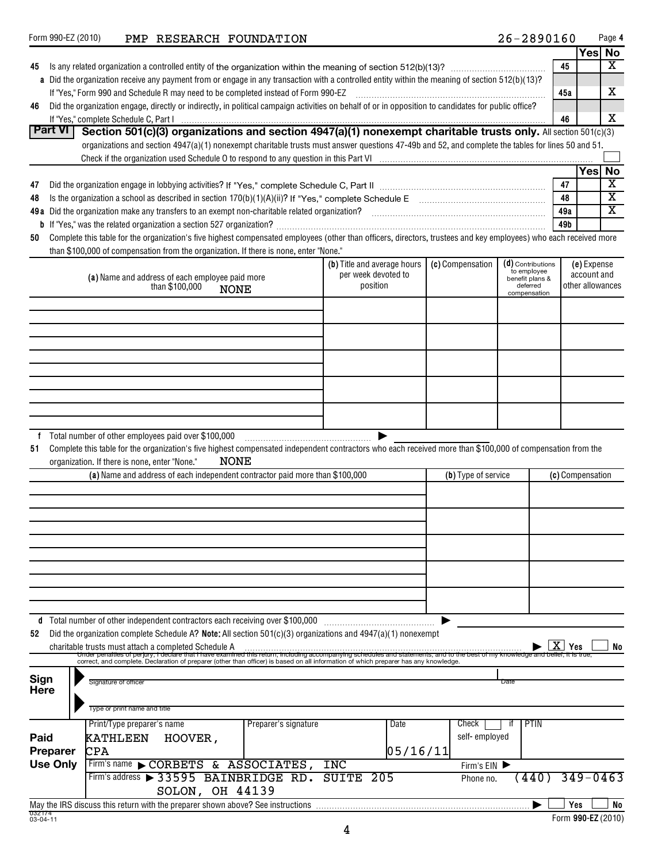|                     |                                                                                                                                                                                                                                                |                             |                     |                                  |                                 | Yes No           |                         |
|---------------------|------------------------------------------------------------------------------------------------------------------------------------------------------------------------------------------------------------------------------------------------|-----------------------------|---------------------|----------------------------------|---------------------------------|------------------|-------------------------|
| 45                  |                                                                                                                                                                                                                                                |                             |                     |                                  | 45                              |                  | x                       |
|                     | a Did the organization receive any payment from or engage in any transaction with a controlled entity within the meaning of section 512(b)(13)?                                                                                                |                             |                     |                                  |                                 |                  |                         |
|                     | If "Yes," Form 990 and Schedule R may need to be completed instead of Form 990-EZ                                                                                                                                                              |                             |                     |                                  | 45a                             |                  | x                       |
| 46                  | Did the organization engage, directly or indirectly, in political campaign activities on behalf of or in opposition to candidates for public office?                                                                                           |                             |                     |                                  |                                 |                  |                         |
|                     |                                                                                                                                                                                                                                                |                             |                     |                                  | 46                              |                  | x                       |
| <b>Part VI</b>      | Section 501(c)(3) organizations and section 4947(a)(1) nonexempt charitable trusts only. All section 501(c)(3)                                                                                                                                 |                             |                     |                                  |                                 |                  |                         |
|                     | organizations and section 4947(a)(1) nonexempt charitable trusts must answer questions 47-49b and 52, and complete the tables for lines 50 and 51.                                                                                             |                             |                     |                                  |                                 |                  |                         |
|                     |                                                                                                                                                                                                                                                |                             |                     |                                  |                                 |                  |                         |
|                     |                                                                                                                                                                                                                                                |                             |                     |                                  |                                 | Yes No           |                         |
| 47                  |                                                                                                                                                                                                                                                |                             |                     |                                  | 47                              |                  | $\overline{\textbf{x}}$ |
| 48                  |                                                                                                                                                                                                                                                |                             |                     |                                  | 48                              |                  | $\overline{\mathtt{x}}$ |
|                     | 49a Did the organization make any transfers to an exempt non-charitable related organization?<br>2010 min. matter or matters and the original and the original continuation of the control of the state and th                                 |                             |                     |                                  | 49a                             |                  | $\overline{\mathbf{x}}$ |
|                     |                                                                                                                                                                                                                                                |                             |                     |                                  | 49b                             |                  |                         |
| 50                  | Complete this table for the organization's five highest compensated employees (other than officers, directors, trustees and key employees) who each received more                                                                              |                             |                     |                                  |                                 |                  |                         |
|                     | than \$100,000 of compensation from the organization. If there is none, enter "None."                                                                                                                                                          |                             |                     |                                  |                                 |                  |                         |
|                     |                                                                                                                                                                                                                                                | (b) Title and average hours | (c) Compensation    | (d) Contributions<br>to employee |                                 | (e) Expense      |                         |
|                     | (a) Name and address of each employee paid more                                                                                                                                                                                                | per week devoted to         |                     | benefit plans &                  |                                 | account and      |                         |
|                     | than \$100,000<br><b>NONE</b>                                                                                                                                                                                                                  | position                    |                     | deferred<br>compensation         |                                 | other allowances |                         |
|                     |                                                                                                                                                                                                                                                |                             |                     |                                  |                                 |                  |                         |
|                     |                                                                                                                                                                                                                                                |                             |                     |                                  |                                 |                  |                         |
|                     |                                                                                                                                                                                                                                                |                             |                     |                                  |                                 |                  |                         |
|                     |                                                                                                                                                                                                                                                |                             |                     |                                  |                                 |                  |                         |
|                     |                                                                                                                                                                                                                                                |                             |                     |                                  |                                 |                  |                         |
|                     |                                                                                                                                                                                                                                                |                             |                     |                                  |                                 |                  |                         |
|                     |                                                                                                                                                                                                                                                |                             |                     |                                  |                                 |                  |                         |
|                     |                                                                                                                                                                                                                                                |                             |                     |                                  |                                 |                  |                         |
|                     |                                                                                                                                                                                                                                                |                             |                     |                                  |                                 |                  |                         |
|                     |                                                                                                                                                                                                                                                |                             |                     |                                  |                                 |                  |                         |
| f.                  | Total number of other employees paid over \$100,000                                                                                                                                                                                            |                             |                     |                                  |                                 |                  |                         |
| 51                  | Complete this table for the organization's five highest compensated independent contractors who each received more than \$100,000 of compensation from the                                                                                     |                             |                     |                                  |                                 |                  |                         |
|                     | NONE<br>organization. If there is none, enter "None."                                                                                                                                                                                          |                             |                     |                                  |                                 |                  |                         |
|                     | (a) Name and address of each independent contractor paid more than \$100,000                                                                                                                                                                   |                             | (b) Type of service |                                  | (c) Compensation                |                  |                         |
|                     |                                                                                                                                                                                                                                                |                             |                     |                                  |                                 |                  |                         |
|                     |                                                                                                                                                                                                                                                |                             |                     |                                  |                                 |                  |                         |
|                     |                                                                                                                                                                                                                                                |                             |                     |                                  |                                 |                  |                         |
|                     |                                                                                                                                                                                                                                                |                             |                     |                                  |                                 |                  |                         |
|                     |                                                                                                                                                                                                                                                |                             |                     |                                  |                                 |                  |                         |
|                     |                                                                                                                                                                                                                                                |                             |                     |                                  |                                 |                  |                         |
|                     |                                                                                                                                                                                                                                                |                             |                     |                                  |                                 |                  |                         |
|                     |                                                                                                                                                                                                                                                |                             |                     |                                  |                                 |                  |                         |
|                     |                                                                                                                                                                                                                                                |                             |                     |                                  |                                 |                  |                         |
|                     |                                                                                                                                                                                                                                                |                             |                     |                                  |                                 |                  |                         |
|                     | d Total number of other independent contractors each receiving over \$100,000                                                                                                                                                                  |                             |                     |                                  |                                 |                  |                         |
| 52                  | Did the organization complete Schedule A? Note: All section $501(c)(3)$ organizations and $4947(a)(1)$ nonexempt                                                                                                                               |                             |                     |                                  |                                 |                  |                         |
|                     | charitable trusts must attach a completed Schedule A                                                                                                                                                                                           |                             |                     |                                  | x<br>Yes                        |                  | No                      |
|                     | Under penalties of perjury, i declare that I have examined this return, including accompanying schedule<br>correct, and complete. Declaration of preparer (other than officer) is based on all information of which preparer has any knowledge |                             |                     | e best of my knowledde an        | <del>d bellef, it is true</del> |                  |                         |
|                     |                                                                                                                                                                                                                                                |                             |                     |                                  |                                 |                  |                         |
| Sign<br><b>Here</b> | Signature of officer                                                                                                                                                                                                                           |                             |                     | Date                             |                                 |                  |                         |
|                     |                                                                                                                                                                                                                                                |                             |                     |                                  |                                 |                  |                         |
|                     | Type or print name and title                                                                                                                                                                                                                   |                             |                     |                                  |                                 |                  |                         |
|                     | Print/Type preparer's name<br>Preparer's signature                                                                                                                                                                                             | Date                        | Check               | <b>PTIN</b><br>it.               |                                 |                  |                         |
| Paid                | <b>KATHLEEN</b><br>HOOVER,                                                                                                                                                                                                                     |                             | self-employed       |                                  |                                 |                  |                         |
| <b>Preparer</b>     | <b>CPA</b>                                                                                                                                                                                                                                     | 05/16/11                    |                     |                                  |                                 |                  |                         |
| <b>Use Only</b>     | Firm's name CORBETS & ASSOCIATES,                                                                                                                                                                                                              | INC                         | Firm's EIN          |                                  |                                 |                  |                         |
|                     | Firm's address > 33595 BAINBRIDGE RD. SUITE 205                                                                                                                                                                                                |                             | Phone no.           | $(440)$ 349-0463                 |                                 |                  |                         |
|                     |                                                                                                                                                                                                                                                |                             |                     |                                  |                                 |                  |                         |
|                     | SOLON, OH 44139                                                                                                                                                                                                                                |                             |                     |                                  |                                 |                  |                         |
| 032174<br>03-04-11  | May the IRS discuss this return with the preparer shown above? See instructions                                                                                                                                                                |                             |                     |                                  | Yes                             |                  | No                      |

Form 990-EZ (2010)  $\blacksquare$  PMP RESEARCH FOUNDATION  $26-2890160$  Page

**4**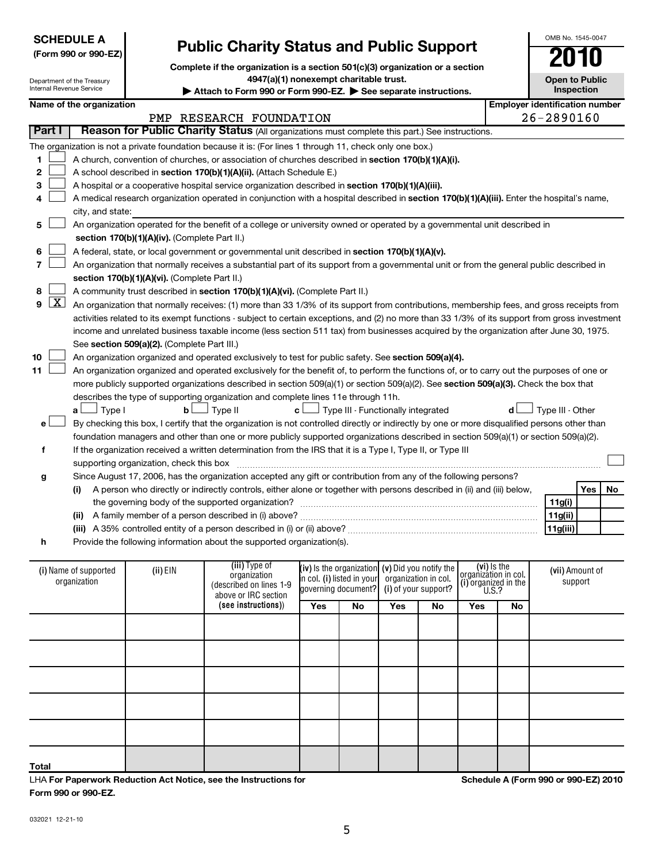| 032021 12-21-10 |
|-----------------|

**Form 990 or 990-EZ.**

LHA **For Paperwork Reduction Act Notice, see the Instructions for** 

|       |             |                                                                                                                                                                                                                                               |                                             | The organization is not a private foundation because it is: (For lines 1 through 11, check only one box.)                                     |                     |                            |                                                        |    |                                     |    |                  |                 |    |
|-------|-------------|-----------------------------------------------------------------------------------------------------------------------------------------------------------------------------------------------------------------------------------------------|---------------------------------------------|-----------------------------------------------------------------------------------------------------------------------------------------------|---------------------|----------------------------|--------------------------------------------------------|----|-------------------------------------|----|------------------|-----------------|----|
| 1     |             |                                                                                                                                                                                                                                               |                                             | A church, convention of churches, or association of churches described in section 170(b)(1)(A)(i).                                            |                     |                            |                                                        |    |                                     |    |                  |                 |    |
| 2     |             |                                                                                                                                                                                                                                               |                                             | A school described in section 170(b)(1)(A)(ii). (Attach Schedule E.)                                                                          |                     |                            |                                                        |    |                                     |    |                  |                 |    |
| 3     |             | A hospital or a cooperative hospital service organization described in section 170(b)(1)(A)(iii).                                                                                                                                             |                                             |                                                                                                                                               |                     |                            |                                                        |    |                                     |    |                  |                 |    |
|       |             | A medical research organization operated in conjunction with a hospital described in section 170(b)(1)(A)(iii). Enter the hospital's name,                                                                                                    |                                             |                                                                                                                                               |                     |                            |                                                        |    |                                     |    |                  |                 |    |
|       |             | city, and state:                                                                                                                                                                                                                              |                                             |                                                                                                                                               |                     |                            |                                                        |    |                                     |    |                  |                 |    |
| 5     |             |                                                                                                                                                                                                                                               |                                             |                                                                                                                                               |                     |                            |                                                        |    |                                     |    |                  |                 |    |
|       |             | An organization operated for the benefit of a college or university owned or operated by a governmental unit described in<br>section 170(b)(1)(A)(iv). (Complete Part II.)                                                                    |                                             |                                                                                                                                               |                     |                            |                                                        |    |                                     |    |                  |                 |    |
| 6     |             |                                                                                                                                                                                                                                               |                                             |                                                                                                                                               |                     |                            |                                                        |    |                                     |    |                  |                 |    |
|       |             | A federal, state, or local government or governmental unit described in section 170(b)(1)(A)(v).<br>An organization that normally receives a substantial part of its support from a governmental unit or from the general public described in |                                             |                                                                                                                                               |                     |                            |                                                        |    |                                     |    |                  |                 |    |
|       |             | section 170(b)(1)(A)(vi). (Complete Part II.)                                                                                                                                                                                                 |                                             |                                                                                                                                               |                     |                            |                                                        |    |                                     |    |                  |                 |    |
| 8     |             |                                                                                                                                                                                                                                               |                                             | A community trust described in section 170(b)(1)(A)(vi). (Complete Part II.)                                                                  |                     |                            |                                                        |    |                                     |    |                  |                 |    |
| 9     | <u> X  </u> |                                                                                                                                                                                                                                               |                                             | An organization that normally receives: (1) more than 33 1/3% of its support from contributions, membership fees, and gross receipts from     |                     |                            |                                                        |    |                                     |    |                  |                 |    |
|       |             |                                                                                                                                                                                                                                               |                                             | activities related to its exempt functions - subject to certain exceptions, and (2) no more than 33 1/3% of its support from gross investment |                     |                            |                                                        |    |                                     |    |                  |                 |    |
|       |             |                                                                                                                                                                                                                                               |                                             | income and unrelated business taxable income (less section 511 tax) from businesses acquired by the organization after June 30, 1975.         |                     |                            |                                                        |    |                                     |    |                  |                 |    |
|       |             |                                                                                                                                                                                                                                               | See section 509(a)(2). (Complete Part III.) |                                                                                                                                               |                     |                            |                                                        |    |                                     |    |                  |                 |    |
| 10    |             |                                                                                                                                                                                                                                               |                                             | An organization organized and operated exclusively to test for public safety. See section 509(a)(4).                                          |                     |                            |                                                        |    |                                     |    |                  |                 |    |
| 11    |             |                                                                                                                                                                                                                                               |                                             |                                                                                                                                               |                     |                            |                                                        |    |                                     |    |                  |                 |    |
|       |             |                                                                                                                                                                                                                                               |                                             | An organization organized and operated exclusively for the benefit of, to perform the functions of, or to carry out the purposes of one or    |                     |                            |                                                        |    |                                     |    |                  |                 |    |
|       |             |                                                                                                                                                                                                                                               |                                             | more publicly supported organizations described in section 509(a)(1) or section 509(a)(2). See section 509(a)(3). Check the box that          |                     |                            |                                                        |    |                                     |    |                  |                 |    |
|       |             |                                                                                                                                                                                                                                               |                                             | describes the type of supporting organization and complete lines 11e through 11h.<br>$\perp$ Type II                                          |                     |                            | $\mathbf{c}$ $\Box$ Type III - Functionally integrated |    |                                     |    |                  |                 |    |
|       |             | $\Box$ Type I<br>a L                                                                                                                                                                                                                          | $\mathbf{b}$                                |                                                                                                                                               |                     |                            |                                                        |    |                                     |    | Type III - Other |                 |    |
| e۱    |             |                                                                                                                                                                                                                                               |                                             | By checking this box, I certify that the organization is not controlled directly or indirectly by one or more disqualified persons other than |                     |                            |                                                        |    |                                     |    |                  |                 |    |
|       |             |                                                                                                                                                                                                                                               |                                             | foundation managers and other than one or more publicly supported organizations described in section 509(a)(1) or section 509(a)(2).          |                     |                            |                                                        |    |                                     |    |                  |                 |    |
| f     |             |                                                                                                                                                                                                                                               |                                             | If the organization received a written determination from the IRS that it is a Type I, Type II, or Type III                                   |                     |                            |                                                        |    |                                     |    |                  |                 |    |
|       |             |                                                                                                                                                                                                                                               |                                             |                                                                                                                                               |                     |                            |                                                        |    |                                     |    |                  |                 |    |
| g     |             |                                                                                                                                                                                                                                               |                                             | Since August 17, 2006, has the organization accepted any gift or contribution from any of the following persons?                              |                     |                            |                                                        |    |                                     |    |                  |                 |    |
|       |             | (i)                                                                                                                                                                                                                                           |                                             | A person who directly or indirectly controls, either alone or together with persons described in (ii) and (iii) below,                        |                     |                            |                                                        |    |                                     |    |                  | Yes             | No |
|       |             |                                                                                                                                                                                                                                               |                                             |                                                                                                                                               |                     |                            |                                                        |    |                                     |    | 11g(i)           |                 |    |
|       |             |                                                                                                                                                                                                                                               |                                             |                                                                                                                                               |                     |                            |                                                        |    |                                     |    | 11g(ii)          |                 |    |
|       |             |                                                                                                                                                                                                                                               |                                             |                                                                                                                                               |                     |                            |                                                        |    |                                     |    | 11g(iii)         |                 |    |
| h     |             |                                                                                                                                                                                                                                               |                                             | Provide the following information about the supported organization(s).                                                                        |                     |                            |                                                        |    |                                     |    |                  |                 |    |
|       |             |                                                                                                                                                                                                                                               |                                             |                                                                                                                                               |                     |                            |                                                        |    |                                     |    |                  |                 |    |
|       |             | (i) Name of supported                                                                                                                                                                                                                         | (ii) EIN                                    | (iii) Type of<br>organization                                                                                                                 |                     |                            | (iv) is the organization $(v)$ Did you notify the      |    | (vi) is the<br>organizátion in col. |    |                  | (vii) Amount of |    |
|       |             | organization                                                                                                                                                                                                                                  |                                             | (described on lines 1-9                                                                                                                       | governing document? | in col. (i) listed in your | organization in col.<br>(i) of your support?           |    | $(i)$ organized in the U.S.?        |    |                  | support         |    |
|       |             |                                                                                                                                                                                                                                               |                                             | above or IRC section                                                                                                                          |                     |                            |                                                        |    |                                     |    |                  |                 |    |
|       |             |                                                                                                                                                                                                                                               |                                             | (see instructions))                                                                                                                           | Yes                 | No                         | Yes                                                    | No | Yes                                 | No |                  |                 |    |
|       |             |                                                                                                                                                                                                                                               |                                             |                                                                                                                                               |                     |                            |                                                        |    |                                     |    |                  |                 |    |
|       |             |                                                                                                                                                                                                                                               |                                             |                                                                                                                                               |                     |                            |                                                        |    |                                     |    |                  |                 |    |
|       |             |                                                                                                                                                                                                                                               |                                             |                                                                                                                                               |                     |                            |                                                        |    |                                     |    |                  |                 |    |
|       |             |                                                                                                                                                                                                                                               |                                             |                                                                                                                                               |                     |                            |                                                        |    |                                     |    |                  |                 |    |
|       |             |                                                                                                                                                                                                                                               |                                             |                                                                                                                                               |                     |                            |                                                        |    |                                     |    |                  |                 |    |
|       |             |                                                                                                                                                                                                                                               |                                             |                                                                                                                                               |                     |                            |                                                        |    |                                     |    |                  |                 |    |
|       |             |                                                                                                                                                                                                                                               |                                             |                                                                                                                                               |                     |                            |                                                        |    |                                     |    |                  |                 |    |
|       |             |                                                                                                                                                                                                                                               |                                             |                                                                                                                                               |                     |                            |                                                        |    |                                     |    |                  |                 |    |
|       |             |                                                                                                                                                                                                                                               |                                             |                                                                                                                                               |                     |                            |                                                        |    |                                     |    |                  |                 |    |
|       |             |                                                                                                                                                                                                                                               |                                             |                                                                                                                                               |                     |                            |                                                        |    |                                     |    |                  |                 |    |
| Total |             |                                                                                                                                                                                                                                               |                                             |                                                                                                                                               |                     |                            |                                                        |    |                                     |    |                  |                 |    |

# **Public Charity Status and Public Support**

**Complete if the organization is a section 501(c)(3) organization or a section**

**4947(a)(1) nonexempt charitable trust.**

PMP RESEARCH FOUNDATION 26-2890160

## Attach to Form 990 or Form 990-EZ. See separate instructions.

**Part I** | Reason for Public Charity Status (All organizations must complete this part.) See instructions.

**Open to Public Inspection**

**Schedule A (Form 990 or 990-EZ) 2010**

| Department of the Treasury |
|----------------------------|
| Internal Revenue Service   |

**SCHEDULE A**

Internal Revenue Service

**(Form 990 or 990-EZ)**

| ernal Revenue Service |  |
|-----------------------|--|
|                       |  |

**Name of the organization**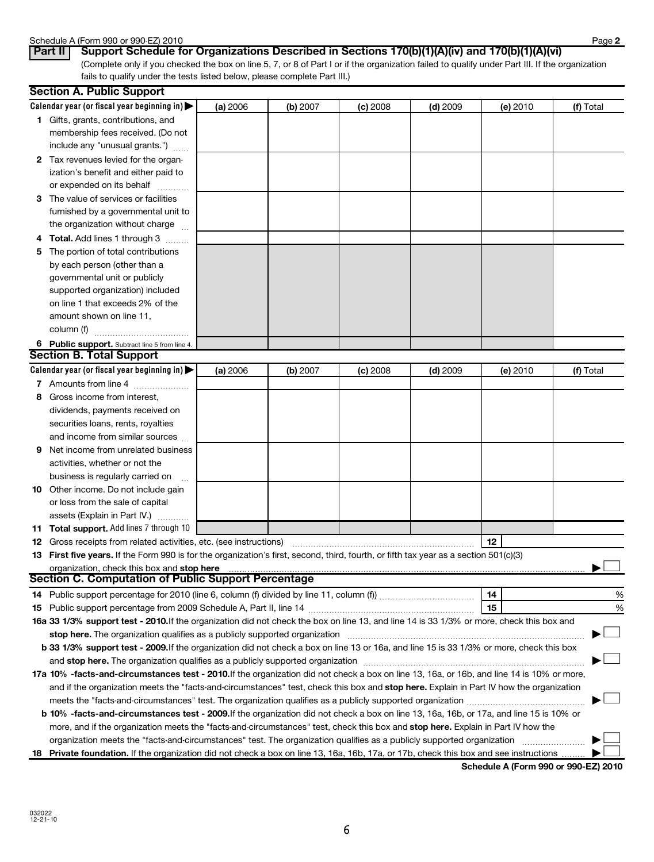# Schedule A (Form 990 or 990-EZ) 2010<br>**Part II | Support Schedule formation**

(Complete only if you checked the box on line 5, 7, or 8 of Part I or if the organization failed to qualify under Part III. If the organization fails to qualify under the tests listed below, please complete Part III.) **Part II Support Schedule for Organizations Described in Sections 170(b)(1)(A)(iv) and 170(b)(1)(A)(vi)**

|    | <b>Section A. Public Support</b>                                                                                                                                                                                                                      |                 |          |            |            |          |           |
|----|-------------------------------------------------------------------------------------------------------------------------------------------------------------------------------------------------------------------------------------------------------|-----------------|----------|------------|------------|----------|-----------|
|    | Calendar year (or fiscal year beginning in) $\blacktriangleright$                                                                                                                                                                                     | <b>(a)</b> 2006 | (b) 2007 | $(c)$ 2008 | $(d)$ 2009 | (e) 2010 | (f) Total |
|    | 1 Gifts, grants, contributions, and<br>membership fees received. (Do not<br>include any "unusual grants.")                                                                                                                                            |                 |          |            |            |          |           |
|    | 2 Tax revenues levied for the organ-<br>ization's benefit and either paid to<br>or expended on its behalf                                                                                                                                             |                 |          |            |            |          |           |
|    | 3 The value of services or facilities<br>furnished by a governmental unit to<br>the organization without charge                                                                                                                                       |                 |          |            |            |          |           |
| 5. | Total. Add lines 1 through 3<br>The portion of total contributions<br>by each person (other than a<br>governmental unit or publicly<br>supported organization) included<br>on line 1 that exceeds 2% of the<br>amount shown on line 11,<br>column (f) |                 |          |            |            |          |           |
|    | 6 Public support. Subtract line 5 from line 4.                                                                                                                                                                                                        |                 |          |            |            |          |           |
|    | <b>Section B. Total Support</b>                                                                                                                                                                                                                       |                 |          |            |            |          |           |
|    | Calendar year (or fiscal year beginning in)                                                                                                                                                                                                           | (a) 2006        | (b) 2007 | $(c)$ 2008 | $(d)$ 2009 | (e) 2010 | (f) Total |
|    | 7 Amounts from line 4                                                                                                                                                                                                                                 |                 |          |            |            |          |           |
| 8  | Gross income from interest,                                                                                                                                                                                                                           |                 |          |            |            |          |           |
|    | dividends, payments received on                                                                                                                                                                                                                       |                 |          |            |            |          |           |
|    | securities loans, rents, royalties                                                                                                                                                                                                                    |                 |          |            |            |          |           |
|    | and income from similar sources                                                                                                                                                                                                                       |                 |          |            |            |          |           |
| 9  | Net income from unrelated business                                                                                                                                                                                                                    |                 |          |            |            |          |           |
|    | activities, whether or not the                                                                                                                                                                                                                        |                 |          |            |            |          |           |
|    | business is regularly carried on                                                                                                                                                                                                                      |                 |          |            |            |          |           |
|    | 10 Other income. Do not include gain                                                                                                                                                                                                                  |                 |          |            |            |          |           |
|    | or loss from the sale of capital                                                                                                                                                                                                                      |                 |          |            |            |          |           |
|    | assets (Explain in Part IV.)                                                                                                                                                                                                                          |                 |          |            |            |          |           |
| 11 | Total support. Add lines 7 through 10                                                                                                                                                                                                                 |                 |          |            |            |          |           |
|    | <b>12</b> Gross receipts from related activities, etc. (see instructions)                                                                                                                                                                             |                 |          |            |            | 12       |           |
|    | 13 First five years. If the Form 990 is for the organization's first, second, third, fourth, or fifth tax year as a section 501(c)(3)                                                                                                                 |                 |          |            |            |          |           |
|    | Digital Materian C. Computation of Public Support Percentage Section C. Computation of Public Support Percentage                                                                                                                                      |                 |          |            |            |          |           |
|    |                                                                                                                                                                                                                                                       |                 |          |            |            |          |           |
|    |                                                                                                                                                                                                                                                       |                 |          |            |            | 14       | %         |
|    |                                                                                                                                                                                                                                                       |                 |          |            |            | 15       | %         |
|    | 16a 33 1/3% support test - 2010. If the organization did not check the box on line 13, and line 14 is 33 1/3% or more, check this box and                                                                                                             |                 |          |            |            |          |           |
|    | stop here. The organization qualifies as a publicly supported organization                                                                                                                                                                            |                 |          |            |            |          |           |
|    | b 33 1/3% support test - 2009. If the organization did not check a box on line 13 or 16a, and line 15 is 33 1/3% or more, check this box                                                                                                              |                 |          |            |            |          |           |
|    |                                                                                                                                                                                                                                                       |                 |          |            |            |          |           |
|    | 17a 10% -facts-and-circumstances test - 2010. If the organization did not check a box on line 13, 16a, or 16b, and line 14 is 10% or more,                                                                                                            |                 |          |            |            |          |           |
|    | and if the organization meets the "facts-and-circumstances" test, check this box and stop here. Explain in Part IV how the organization                                                                                                               |                 |          |            |            |          |           |
|    | meets the "facts-and-circumstances" test. The organization qualifies as a publicly supported organization                                                                                                                                             |                 |          |            |            |          |           |
|    | b 10% -facts-and-circumstances test - 2009. If the organization did not check a box on line 13, 16a, 16b, or 17a, and line 15 is 10% or                                                                                                               |                 |          |            |            |          |           |
|    | more, and if the organization meets the "facts-and-circumstances" test, check this box and stop here. Explain in Part IV how the                                                                                                                      |                 |          |            |            |          |           |
|    | organization meets the "facts-and-circumstances" test. The organization qualifies as a publicly supported organization                                                                                                                                |                 |          |            |            |          |           |
| 18 | Private foundation. If the organization did not check a box on line 13, 16a, 16b, 17a, or 17b, check this box and see instructions                                                                                                                    |                 |          |            |            |          |           |

**Schedule A (Form 990 or 990-EZ) 2010**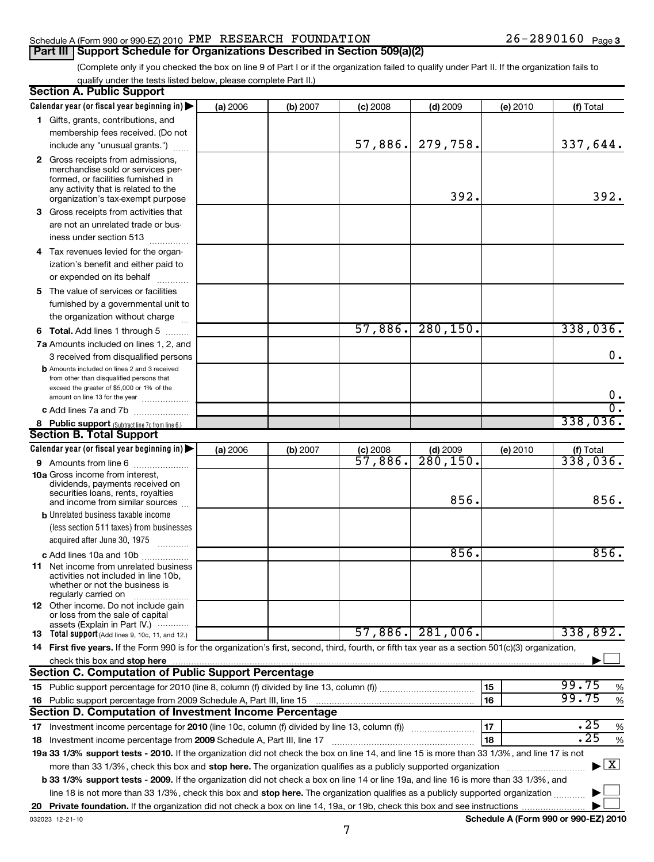## Schedule A (Form 990 or 990-EZ) 2010 Page PMP RESEARCH FOUNDATION 26-2890160 **Part III | Support Schedule for Organizations Described in Section 509(a)(2)**

(Complete only if you checked the box on line 9 of Part I or if the organization failed to qualify under Part II. If the organization fails to qualify under the tests listed below, please complete Part II.)

|    | <b>Section A. Public Support</b>                                                                                                                    |          |          |            |                        |          |                                          |
|----|-----------------------------------------------------------------------------------------------------------------------------------------------------|----------|----------|------------|------------------------|----------|------------------------------------------|
|    | Calendar year (or fiscal year beginning in) $\blacktriangleright$                                                                                   | (a) 2006 | (b) 2007 | (c) 2008   | $(d)$ 2009             | (e) 2010 | (f) Total                                |
|    | 1 Gifts, grants, contributions, and                                                                                                                 |          |          |            |                        |          |                                          |
|    | membership fees received. (Do not                                                                                                                   |          |          |            |                        |          |                                          |
|    | include any "unusual grants.")                                                                                                                      |          |          | 57,886.    | 279,758.               |          | 337,644.                                 |
|    | 2 Gross receipts from admissions,                                                                                                                   |          |          |            |                        |          |                                          |
|    | merchandise sold or services per-                                                                                                                   |          |          |            |                        |          |                                          |
|    | formed, or facilities furnished in                                                                                                                  |          |          |            |                        |          |                                          |
|    | any activity that is related to the<br>organization's tax-exempt purpose                                                                            |          |          |            | 392.                   |          | 392.                                     |
|    | 3 Gross receipts from activities that                                                                                                               |          |          |            |                        |          |                                          |
|    | are not an unrelated trade or bus-                                                                                                                  |          |          |            |                        |          |                                          |
|    | iness under section 513                                                                                                                             |          |          |            |                        |          |                                          |
|    | 4 Tax revenues levied for the organ-                                                                                                                |          |          |            |                        |          |                                          |
|    | ization's benefit and either paid to                                                                                                                |          |          |            |                        |          |                                          |
|    | or expended on its behalf                                                                                                                           |          |          |            |                        |          |                                          |
|    | 5 The value of services or facilities                                                                                                               |          |          |            |                        |          |                                          |
|    |                                                                                                                                                     |          |          |            |                        |          |                                          |
|    | furnished by a governmental unit to<br>the organization without charge                                                                              |          |          |            |                        |          |                                          |
|    |                                                                                                                                                     |          |          | 57,886.    | 280, 150.              |          | 338,036.                                 |
|    | 6 Total. Add lines 1 through 5                                                                                                                      |          |          |            |                        |          |                                          |
|    | <b>7a</b> Amounts included on lines 1, 2, and                                                                                                       |          |          |            |                        |          | 0.                                       |
|    | 3 received from disqualified persons                                                                                                                |          |          |            |                        |          |                                          |
|    | <b>b</b> Amounts included on lines 2 and 3 received<br>from other than disqualified persons that                                                    |          |          |            |                        |          |                                          |
|    | exceed the greater of \$5,000 or 1% of the                                                                                                          |          |          |            |                        |          |                                          |
|    | amount on line 13 for the year                                                                                                                      |          |          |            |                        |          | $\mathbf 0$ .                            |
|    | c Add lines 7a and 7b                                                                                                                               |          |          |            |                        |          | $\overline{0}$ .                         |
|    | 8 Public support (Subtract line 7c from line 6.)                                                                                                    |          |          |            |                        |          | 338,036.                                 |
|    | <b>Section B. Total Support</b>                                                                                                                     |          |          |            |                        |          |                                          |
|    | Calendar year (or fiscal year beginning in)                                                                                                         | (a) 2006 | (b) 2007 | $(c)$ 2008 | $(d)$ 2009             | (e) 2010 | $\frac{f(f) \text{ Total}}{338,036.}$    |
|    | 9 Amounts from line 6<br>.                                                                                                                          |          |          | 57,886.    | $\overline{280,150}$ . |          |                                          |
|    | <b>10a</b> Gross income from interest,                                                                                                              |          |          |            |                        |          |                                          |
|    | dividends, payments received on<br>securities loans, rents, royalties                                                                               |          |          |            |                        |          |                                          |
|    | and income from similar sources                                                                                                                     |          |          |            | 856.                   |          | 856.                                     |
|    | <b>b</b> Unrelated business taxable income                                                                                                          |          |          |            |                        |          |                                          |
|    | (less section 511 taxes) from businesses                                                                                                            |          |          |            |                        |          |                                          |
|    | acquired after June 30, 1975                                                                                                                        |          |          |            |                        |          |                                          |
|    | c Add lines 10a and 10b                                                                                                                             |          |          |            | 856.                   |          | 856.                                     |
|    | <b>11</b> Net income from unrelated business                                                                                                        |          |          |            |                        |          |                                          |
|    | activities not included in line 10b.                                                                                                                |          |          |            |                        |          |                                          |
|    | whether or not the business is<br>regularly carried on                                                                                              |          |          |            |                        |          |                                          |
|    | 12 Other income. Do not include gain                                                                                                                |          |          |            |                        |          |                                          |
|    | or loss from the sale of capital                                                                                                                    |          |          |            |                        |          |                                          |
|    | assets (Explain in Part IV.)<br>13 Total support (Add lines 9, 10c, 11, and 12.)                                                                    |          |          | 57,886.    | $281,006$ .            |          | 338,892.                                 |
|    | 14 First five years. If the Form 990 is for the organization's first, second, third, fourth, or fifth tax year as a section 501(c)(3) organization, |          |          |            |                        |          |                                          |
|    |                                                                                                                                                     |          |          |            |                        |          |                                          |
|    | <b>Section C. Computation of Public Support Percentage</b>                                                                                          |          |          |            |                        |          |                                          |
|    |                                                                                                                                                     |          |          |            |                        | 15       | 99.75<br>%                               |
| 16 | Public support percentage from 2009 Schedule A, Part III, line 15 [11] [11] The manument continuum manument co                                      |          |          |            |                        | 16       | 99.75<br>$\%$                            |
|    | Section D. Computation of Investment Income Percentage                                                                                              |          |          |            |                        |          |                                          |
|    |                                                                                                                                                     |          |          |            |                        | 17       | .25<br>$\%$                              |
|    | 18 Investment income percentage from 2009 Schedule A, Part III, line 17                                                                             |          |          |            |                        | 18       | .25<br>$\%$                              |
|    | 19a 33 1/3% support tests - 2010. If the organization did not check the box on line 14, and line 15 is more than 33 1/3%, and line 17 is not        |          |          |            |                        |          |                                          |
|    | more than 33 1/3%, check this box and stop here. The organization qualifies as a publicly supported organization                                    |          |          |            |                        |          | $\blacktriangleright$ $\boxed{\text{X}}$ |
|    | b 33 1/3% support tests - 2009. If the organization did not check a box on line 14 or line 19a, and line 16 is more than 33 1/3%, and               |          |          |            |                        |          |                                          |
|    | line 18 is not more than 33 1/3%, check this box and stop here. The organization qualifies as a publicly supported organization                     |          |          |            |                        |          |                                          |
|    |                                                                                                                                                     |          |          |            |                        |          |                                          |
|    |                                                                                                                                                     |          |          |            |                        |          |                                          |

032023 12-21-10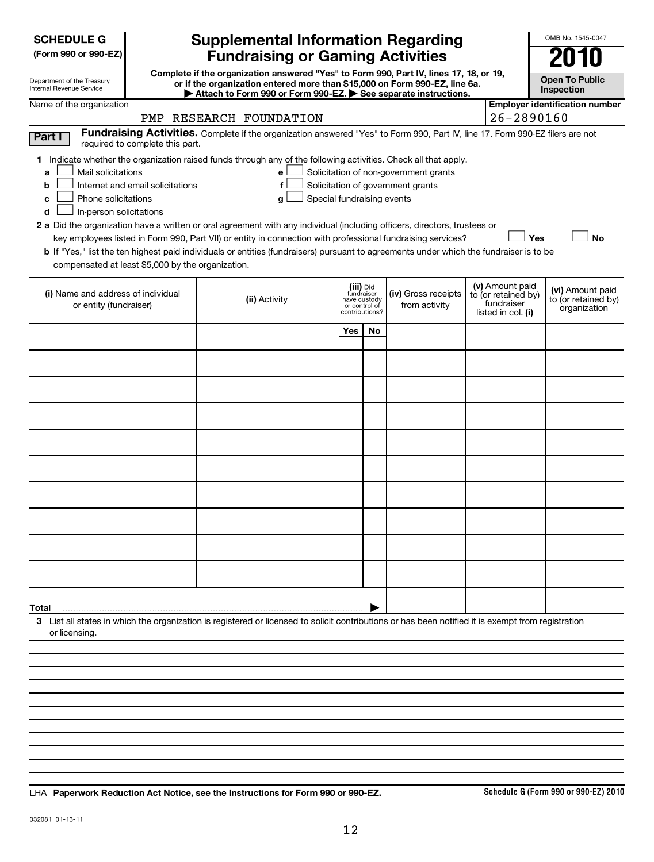| <b>SCHEDULE G</b> |  |
|-------------------|--|
|-------------------|--|

| (Form 990 or 990-EZ) |  |  |  |  |
|----------------------|--|--|--|--|
|----------------------|--|--|--|--|

| Department of the Treasury      |  |
|---------------------------------|--|
| <b>Internal Revenue Service</b> |  |

## **Supplemental Information Regarding Fundraising or Gaming Activities**

**Complete if the organization answered "Yes" to Form 990, Part IV, lines 17, 18, or 19, or if the organization entered more than \$15,000 on Form 990-EZ, line 6a.**

**Open To Public**

OMB No. 1545-0047

| Department of the Treasury<br>Internal Revenue Service |                                                   | or if the organization entered more than \$15,000 on Form 990-EZ, line 6a.<br>Attach to Form 990 or Form 990-EZ. $\triangleright$ See separate instructions. |                         |                    |                                       |  |                                   | <b>UNGIL TO LANIIO</b><br>Inspection  |
|--------------------------------------------------------|---------------------------------------------------|--------------------------------------------------------------------------------------------------------------------------------------------------------------|-------------------------|--------------------|---------------------------------------|--|-----------------------------------|---------------------------------------|
| Name of the organization                               |                                                   |                                                                                                                                                              |                         |                    |                                       |  |                                   | <b>Employer identification number</b> |
|                                                        | PMP                                               | RESEARCH FOUNDATION                                                                                                                                          |                         |                    |                                       |  | $26 - 2890160$                    |                                       |
| Part I                                                 | required to complete this part.                   | Fundraising Activities. Complete if the organization answered "Yes" to Form 990, Part IV, line 17. Form 990-EZ filers are not                                |                         |                    |                                       |  |                                   |                                       |
|                                                        |                                                   | Indicate whether the organization raised funds through any of the following activities. Check all that apply.                                                |                         |                    |                                       |  |                                   |                                       |
| Mail solicitations<br>a                                |                                                   | е                                                                                                                                                            |                         |                    | Solicitation of non-government grants |  |                                   |                                       |
| b                                                      | Internet and email solicitations                  |                                                                                                                                                              |                         |                    | Solicitation of government grants     |  |                                   |                                       |
| Phone solicitations<br>c                               |                                                   | Special fundraising events<br>a                                                                                                                              |                         |                    |                                       |  |                                   |                                       |
| In-person solicitations<br>d                           |                                                   |                                                                                                                                                              |                         |                    |                                       |  |                                   |                                       |
|                                                        |                                                   | 2 a Did the organization have a written or oral agreement with any individual (including officers, directors, trustees or                                    |                         |                    |                                       |  |                                   |                                       |
|                                                        |                                                   | key employees listed in Form 990, Part VII) or entity in connection with professional fundraising services?                                                  |                         |                    |                                       |  | Yes                               | <b>No</b>                             |
|                                                        |                                                   | <b>b</b> If "Yes," list the ten highest paid individuals or entities (fundraisers) pursuant to agreements under which the fundraiser is to be                |                         |                    |                                       |  |                                   |                                       |
|                                                        | compensated at least \$5,000 by the organization. |                                                                                                                                                              |                         |                    |                                       |  |                                   |                                       |
|                                                        |                                                   |                                                                                                                                                              |                         |                    |                                       |  |                                   |                                       |
| (i) Name and address of individual                     |                                                   |                                                                                                                                                              | (iii) Did<br>fundraiser |                    | (iv) Gross receipts                   |  | (v) Amount paid                   | (vi) Amount paid                      |
| or entity (fundraiser)                                 |                                                   | (ii) Activity                                                                                                                                                |                         | have custody       | from activity                         |  | to (or retained by)<br>fundraiser | to (or retained by)                   |
|                                                        | or control of<br>contributions?                   |                                                                                                                                                              |                         | listed in col. (i) | organization                          |  |                                   |                                       |
|                                                        | Yes<br><b>No</b>                                  |                                                                                                                                                              |                         |                    |                                       |  |                                   |                                       |
|                                                        |                                                   |                                                                                                                                                              |                         |                    |                                       |  |                                   |                                       |
|                                                        |                                                   |                                                                                                                                                              |                         |                    |                                       |  |                                   |                                       |
|                                                        |                                                   |                                                                                                                                                              |                         |                    |                                       |  |                                   |                                       |
|                                                        |                                                   |                                                                                                                                                              |                         |                    |                                       |  |                                   |                                       |
|                                                        |                                                   |                                                                                                                                                              |                         |                    |                                       |  |                                   |                                       |
|                                                        |                                                   |                                                                                                                                                              |                         |                    |                                       |  |                                   |                                       |

**Total**

**3** List all states in which the organization is registered or licensed to solicit contributions or has been notified it is exempt from registration or licensing.

**Paperwork Reduction Act Notice, see the Instructions for Form 990 or 990-EZ.** LHA

|

**Schedule G (Form 990 or 990-EZ) 2010**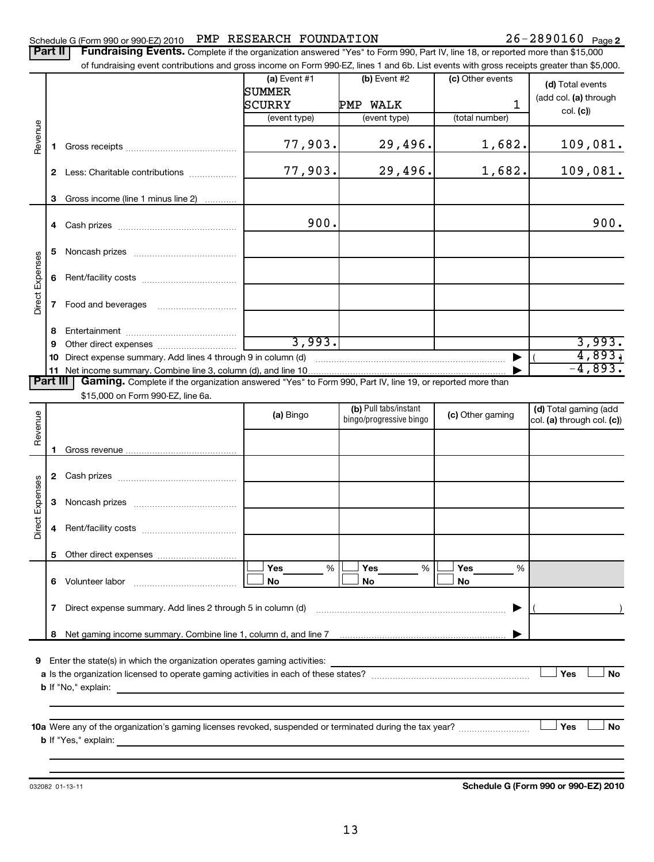### Schedule G (Form 990 or 990-EZ) 2010 PMP RESEARCH FOUNDATION  $26-2890160$  Page

| <b>Part II</b>         |              | Fundraising Events. Complete if the organization answered "Yes" to Form 990, Part IV, line 18, or reported more than \$15,000<br>of fundraising event contributions and gross income on Form 990-EZ, lines 1 and 6b. List events with gross receipts greater than \$5,000. |                                 |                                                  |                     |                                                     |
|------------------------|--------------|----------------------------------------------------------------------------------------------------------------------------------------------------------------------------------------------------------------------------------------------------------------------------|---------------------------------|--------------------------------------------------|---------------------|-----------------------------------------------------|
|                        |              |                                                                                                                                                                                                                                                                            | $(a)$ Event #1<br><b>SUMMER</b> | $(b)$ Event #2                                   | (c) Other events    | (d) Total events<br>(add col. (a) through           |
|                        |              |                                                                                                                                                                                                                                                                            | SCURRY<br>(event type)          | PMP WALK<br>(event type)                         | 1<br>(total number) | col. (c)                                            |
| Revenue                | 1.           |                                                                                                                                                                                                                                                                            | 77,903.                         | 29,496.                                          | 1,682.              | 109,081.                                            |
|                        |              | 2 Less: Charitable contributions                                                                                                                                                                                                                                           | 77,903.                         | 29,496.                                          | 1,682.              | 109,081.                                            |
|                        | 3            | Gross income (line 1 minus line 2)                                                                                                                                                                                                                                         |                                 |                                                  |                     |                                                     |
|                        | 4            |                                                                                                                                                                                                                                                                            | 900.                            |                                                  |                     | 900.                                                |
|                        | 5            |                                                                                                                                                                                                                                                                            |                                 |                                                  |                     |                                                     |
| <b>Direct Expenses</b> | 6            |                                                                                                                                                                                                                                                                            |                                 |                                                  |                     |                                                     |
|                        | 7            |                                                                                                                                                                                                                                                                            |                                 |                                                  |                     |                                                     |
|                        | 8            |                                                                                                                                                                                                                                                                            |                                 |                                                  |                     |                                                     |
|                        | 9            |                                                                                                                                                                                                                                                                            | 3,993.                          |                                                  |                     | 3,993.                                              |
|                        | 10           | Direct expense summary. Add lines 4 through 9 in column (d)                                                                                                                                                                                                                |                                 |                                                  |                     | 4,893,<br>$-4,893.$                                 |
| <b>Part III</b>        | 11           | Gaming. Complete if the organization answered "Yes" to Form 990, Part IV, line 19, or reported more than                                                                                                                                                                   |                                 |                                                  |                     |                                                     |
|                        |              | \$15,000 on Form 990-EZ, line 6a.                                                                                                                                                                                                                                          |                                 |                                                  |                     |                                                     |
| Revenue                |              |                                                                                                                                                                                                                                                                            | (a) Bingo                       | (b) Pull tabs/instant<br>bingo/progressive bingo | (c) Other gaming    | (d) Total gaming (add<br>col. (a) through col. (c)) |
|                        |              |                                                                                                                                                                                                                                                                            |                                 |                                                  |                     |                                                     |
|                        |              |                                                                                                                                                                                                                                                                            |                                 |                                                  |                     |                                                     |
|                        | $\mathbf{2}$ |                                                                                                                                                                                                                                                                            |                                 |                                                  |                     |                                                     |
| irect Expenses         | 3            |                                                                                                                                                                                                                                                                            |                                 |                                                  |                     |                                                     |
| ۵                      | 4            | Rent/facility costs                                                                                                                                                                                                                                                        |                                 |                                                  |                     |                                                     |
|                        | 5            | Other direct expenses                                                                                                                                                                                                                                                      |                                 |                                                  |                     |                                                     |
|                        | 6            | Volunteer labor                                                                                                                                                                                                                                                            | Yes<br>%<br>No                  | Yes<br>%<br>No                                   | Yes<br>%<br>No      |                                                     |
|                        | 7            | Direct expense summary. Add lines 2 through 5 in column (d)                                                                                                                                                                                                                |                                 |                                                  |                     |                                                     |
|                        | 8            |                                                                                                                                                                                                                                                                            |                                 |                                                  |                     |                                                     |
| 9                      |              | Enter the state(s) in which the organization operates gaming activities:<br><b>b</b> If "No," explain:                                                                                                                                                                     |                                 |                                                  |                     | Yes<br><b>No</b>                                    |
|                        |              | <b>b</b> If "Yes," explain:                                                                                                                                                                                                                                                |                                 |                                                  |                     | Yes<br>No                                           |

032082 01-13-11

**Schedule G (Form 990 or 990-EZ) 2010**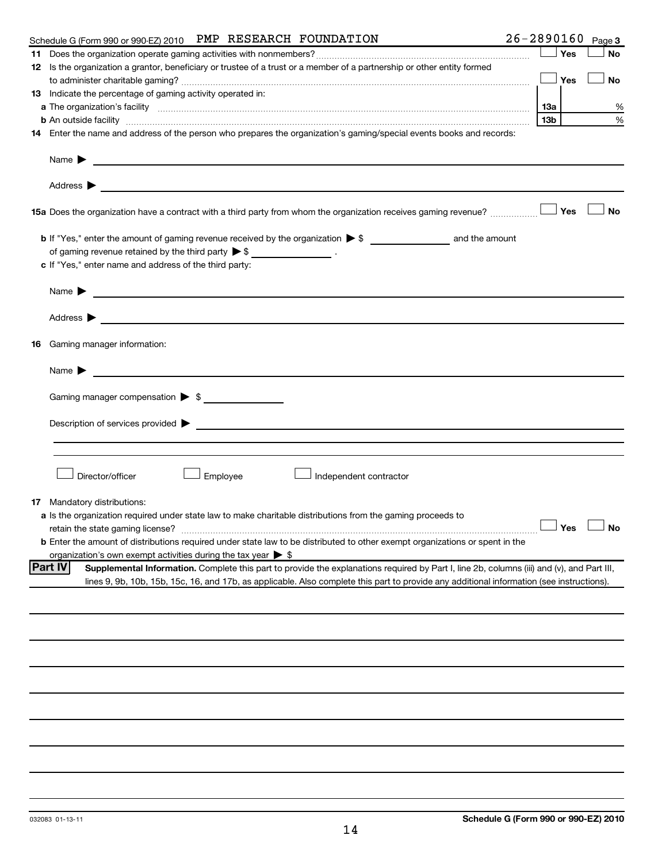|    | $26 - 2890160$<br>Schedule G (Form 990 or 990-EZ) 2010 PMP RESEARCH FOUNDATION                                                                                                                                                                                     |                 |     | Page 3                     |
|----|--------------------------------------------------------------------------------------------------------------------------------------------------------------------------------------------------------------------------------------------------------------------|-----------------|-----|----------------------------|
|    |                                                                                                                                                                                                                                                                    |                 | Yes | <b>No</b>                  |
|    | 12 Is the organization a grantor, beneficiary or trustee of a trust or a member of a partnership or other entity formed                                                                                                                                            |                 |     |                            |
|    |                                                                                                                                                                                                                                                                    |                 | Yes | <b>No</b>                  |
|    | <b>13</b> Indicate the percentage of gaming activity operated in:                                                                                                                                                                                                  |                 |     |                            |
|    |                                                                                                                                                                                                                                                                    | 1За             |     | %                          |
|    | b An outside facility measurements are constructed as a set of the set of the set of the set of the set of the                                                                                                                                                     | 13 <sub>b</sub> |     | %                          |
|    | 14 Enter the name and address of the person who prepares the organization's gaming/special events books and records:                                                                                                                                               |                 |     |                            |
|    | Name $\blacktriangleright$<br><u>and the state of the state of the state of the state of the state of the state of the state of the state of the state of the state of the state of the state of the state of the state of the state of the state of the state</u> |                 |     |                            |
|    | Address ><br><u>and the state of the state of the state of the state of the state of the state of the state of the state of the state of the state of the state of the state of the state of the state of the state of the state of the state</u>                  |                 |     |                            |
|    | 15a Does the organization have a contract with a third party from whom the organization receives gaming revenue?                                                                                                                                                   |                 | Yes | <b>No</b>                  |
|    |                                                                                                                                                                                                                                                                    |                 |     |                            |
|    | of gaming revenue retained by the third party $\triangleright$ \$ ___________________.                                                                                                                                                                             |                 |     |                            |
|    | c If "Yes," enter name and address of the third party:                                                                                                                                                                                                             |                 |     |                            |
|    |                                                                                                                                                                                                                                                                    |                 |     |                            |
|    | <u> 1989 - Andrea Stadt Britain, amerikansk politiker (</u><br>Name $\blacktriangleright$                                                                                                                                                                          |                 |     |                            |
|    | Address $\blacktriangleright$<br><u> 1989 - Johann Barbara, martin amerikan basal dan berasal dan berasal dalam basal dan berasal dalam berasal da</u>                                                                                                             |                 |     |                            |
| 16 | Gaming manager information:                                                                                                                                                                                                                                        |                 |     |                            |
|    | Name $\blacktriangleright$                                                                                                                                                                                                                                         |                 |     |                            |
|    |                                                                                                                                                                                                                                                                    |                 |     |                            |
|    | Gaming manager compensation > \$                                                                                                                                                                                                                                   |                 |     |                            |
|    |                                                                                                                                                                                                                                                                    |                 |     |                            |
|    | $\blacksquare$ Description of services provided $\blacktriangleright$                                                                                                                                                                                              |                 |     |                            |
|    |                                                                                                                                                                                                                                                                    |                 |     |                            |
|    |                                                                                                                                                                                                                                                                    |                 |     |                            |
|    | Director/officer<br>Employee<br>Independent contractor                                                                                                                                                                                                             |                 |     |                            |
|    |                                                                                                                                                                                                                                                                    |                 |     |                            |
|    | <b>17</b> Mandatory distributions:                                                                                                                                                                                                                                 |                 |     |                            |
|    | a Is the organization required under state law to make charitable distributions from the gaming proceeds to                                                                                                                                                        |                 |     |                            |
|    | retain the state gaming license?                                                                                                                                                                                                                                   |                 |     | $\Box$ Yes $\quad \Box$ No |
|    | b Enter the amount of distributions required under state law to be distributed to other exempt organizations or spent in the                                                                                                                                       |                 |     |                            |
|    | organization's own exempt activities during the tax year > \$                                                                                                                                                                                                      |                 |     |                            |
|    | <b>Part IV</b><br>Supplemental Information. Complete this part to provide the explanations required by Part I, line 2b, columns (iii) and (v), and Part III,                                                                                                       |                 |     |                            |
|    | lines 9, 9b, 10b, 15b, 15c, 16, and 17b, as applicable. Also complete this part to provide any additional information (see instructions).                                                                                                                          |                 |     |                            |
|    |                                                                                                                                                                                                                                                                    |                 |     |                            |
|    |                                                                                                                                                                                                                                                                    |                 |     |                            |
|    |                                                                                                                                                                                                                                                                    |                 |     |                            |
|    |                                                                                                                                                                                                                                                                    |                 |     |                            |
|    |                                                                                                                                                                                                                                                                    |                 |     |                            |
|    |                                                                                                                                                                                                                                                                    |                 |     |                            |
|    |                                                                                                                                                                                                                                                                    |                 |     |                            |
|    |                                                                                                                                                                                                                                                                    |                 |     |                            |
|    |                                                                                                                                                                                                                                                                    |                 |     |                            |
|    |                                                                                                                                                                                                                                                                    |                 |     |                            |
|    |                                                                                                                                                                                                                                                                    |                 |     |                            |
|    |                                                                                                                                                                                                                                                                    |                 |     |                            |
|    |                                                                                                                                                                                                                                                                    |                 |     |                            |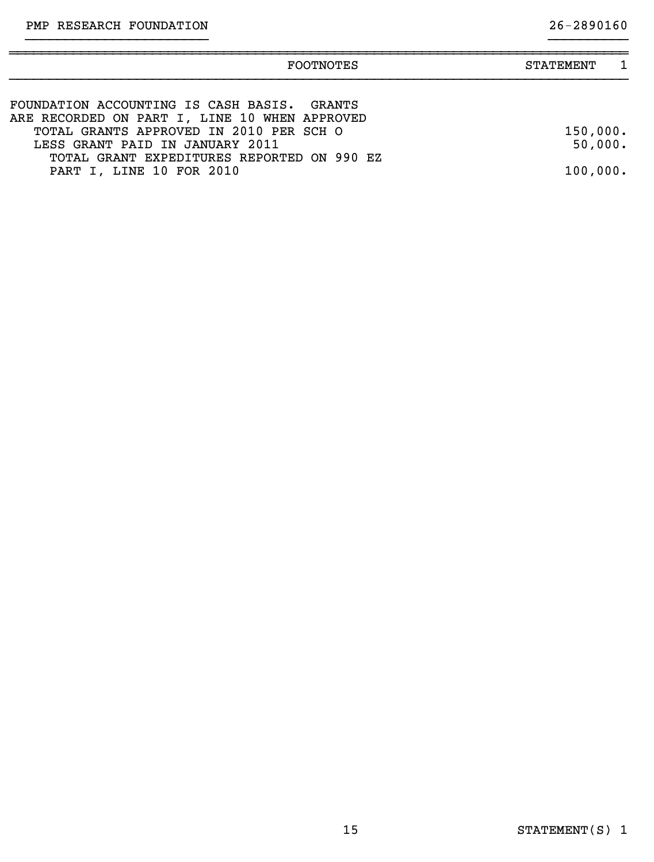| <b>FOOTNOTES</b>                                                                                                         | <b>STATEMENT</b>    |  |
|--------------------------------------------------------------------------------------------------------------------------|---------------------|--|
| FOUNDATION ACCOUNTING IS CASH BASIS. GRANTS<br>ARE RECORDED ON PART I, LINE 10 WHEN APPROVED                             |                     |  |
| TOTAL GRANTS APPROVED IN 2010 PER SCH O<br>LESS GRANT PAID IN JANUARY 2011<br>TOTAL GRANT EXPEDITURES REPORTED ON 990 EZ | 150,000.<br>50,000. |  |
| PART I, LINE 10 FOR 2010                                                                                                 | 100,000.            |  |

}}}}}}}}}}}}}}}}}}}}}}} }}}}}}}}}}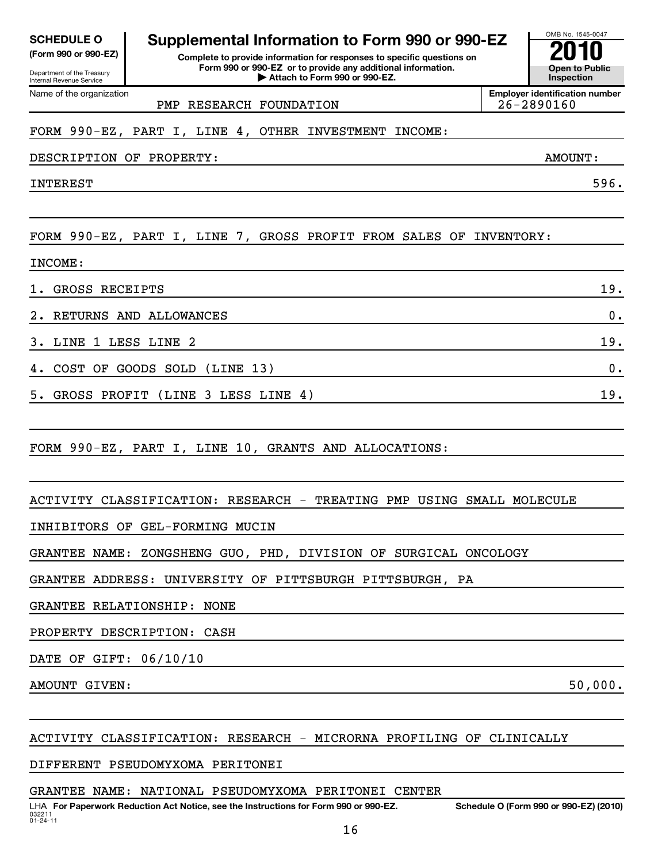032211 01-24-11 LHA For Paperwork Reduction Act Notice, see the Instructions for Form 990 or 990-EZ. Schedule O (Form 990 or 990-EZ) (2010) 16

# ACTIVITY CLASSIFICATION: RESEARCH - MICRORNA PROFILING OF CLINICALLY

DIFFERENT PSEUDOMYXOMA PERITONEI

## GRANTEE NAME: NATIONAL PSEUDOMYXOMA PERITONEI CENTER



2. RETURNS AND ALLOWANCES 0.  $3.$  LINE 1 LESS LINE 2  $19.$ 4. COST OF GOODS SOLD (LINE 13) 0. 5. GROSS PROFIT (LINE 3 LESS LINE 4) 19.

FORM 990-EZ, PART I, LINE 10, GRANTS AND ALLOCATIONS:

FORM 990-EZ, PART I, LINE 4, OTHER INVESTMENT INCOME:

ACTIVITY CLASSIFICATION: RESEARCH - TREATING PMP USING SMALL MOLECULE

INHIBITORS OF GEL-FORMING MUCIN

GRANTEE NAME: ZONGSHENG GUO, PHD, DIVISION OF SURGICAL ONCOLOGY

GRANTEE ADDRESS: UNIVERSITY OF PITTSBURGH PITTSBURGH, PA

GRANTEE RELATIONSHIP: NONE

PROPERTY DESCRIPTION: CASH

DATE OF GIFT: 06/10/10

AMOUNT GIVEN: 50,000.

Department of the Treasury Internal Revenue Service

INCOME:

Name of the organization

**(Form 990 or 990-EZ) Complete to provide information for responses to specific questions on Form 990 or 990-EZ or to provide any additional information. | Attach to Form 990 or 990-EZ. Open to Public SCHEDULE O Supplemental Information to Form 990 or 990-EZ**<br> **Supplemental Information for responses to specific questions on**<br> **EXECUS COMPAGE CONSTRUCT CONSTRUCT CONSUMING TO PUBLIC CONSUMING TO PUBLIC**<br> **EXECUS CONSUM** 

PMP RESEARCH FOUNDATION  $26-2890160$ 

**Employer identification number**

DESCRIPTION OF PROPERTY: AMOUNT:

INTEREST 596.



**Inspection**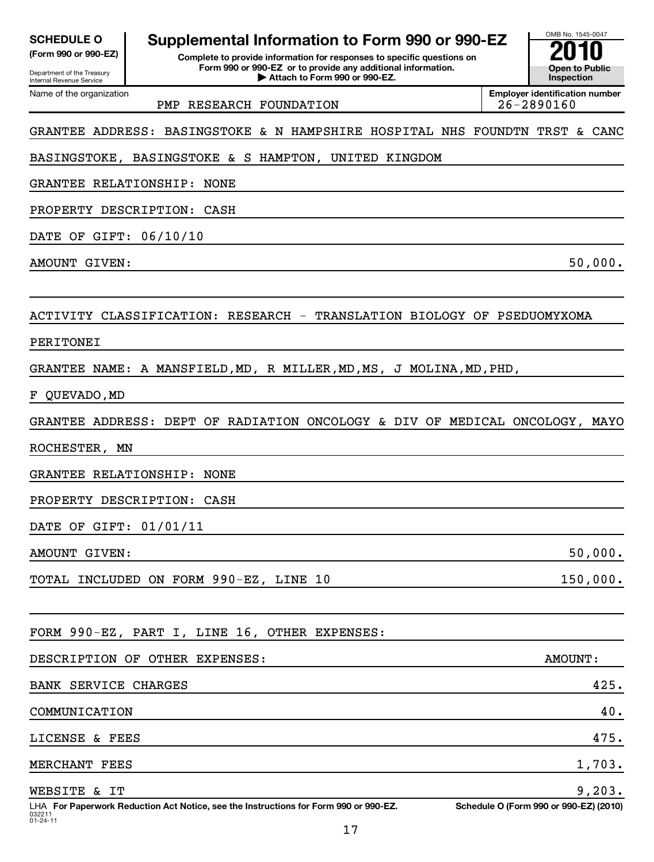| <b>SCHEDULE O</b> |          |  |
|-------------------|----------|--|
|                   | $\cdots$ |  |

Department of the Treasury Internal Revenue Service

**(Form 990 or 990-EZ) Complete to provide information for responses to specific questions on Form 990 or 990-EZ or to provide any additional information. | Attach to Form 990 or 990-EZ. Open to Public Supplemental Information to Form 990 or 990-EZ**<br> **Supplemental Information for responses to specific questions on**<br> **2010**<br> **2010**<br> **2010**<br> **2010**<br> **2010**<br> **2010** 



Name of the organization

PMP RESEARCH FOUNDATION  $\vert$  26-2890160

**Employer identification number**

## GRANTEE ADDRESS: BASINGSTOKE & N HAMPSHIRE HOSPITAL NHS FOUNDTN TRST & CANC

## BASINGSTOKE, BASINGSTOKE & S HAMPTON, UNITED KINGDOM

GRANTEE RELATIONSHIP: NONE

PROPERTY DESCRIPTION: CASH

DATE OF GIFT: 06/10/10

AMOUNT GIVEN: 50,000.

## ACTIVITY CLASSIFICATION: RESEARCH - TRANSLATION BIOLOGY OF PSEDUOMYXOMA

### PERITONEI

GRANTEE NAME: A MANSFIELD,MD, R MILLER,MD,MS, J MOLINA,MD,PHD,

F QUEVADO,MD

GRANTEE ADDRESS: DEPT OF RADIATION ONCOLOGY & DIV OF MEDICAL ONCOLOGY, MAYO

ROCHESTER, MN

GRANTEE RELATIONSHIP: NONE

PROPERTY DESCRIPTION: CASH

DATE OF GIFT: 01/01/11

AMOUNT GIVEN: 50,000.

TOTAL INCLUDED ON FORM 990-EZ, LINE 10 150,000.

## FORM 990-EZ, PART I, LINE 16, OTHER EXPENSES:

| DESCRIPTION OF OTHER EXPENSES:                                                        | AMOUNT:                                |
|---------------------------------------------------------------------------------------|----------------------------------------|
| BANK SERVICE CHARGES                                                                  | 425.                                   |
| COMMUNICATION                                                                         | 40.                                    |
| LICENSE & FEES                                                                        | 475.                                   |
| MERCHANT FEES                                                                         | 1,703.                                 |
| WEBSITE & IT                                                                          | 9,203.                                 |
| LUAL For Department Poduction Act Notice, can the Instructions for Form 000 or 000 FZ | Schodule O (Ferm 000 or 000 FZ) (2010) |

032211 01-24-11 LHA For Paperwork Reduction Act Notice, see the Instructions for Form 990 or 990-EZ. Schedule O (Form 990 or 990-EZ) (2010)